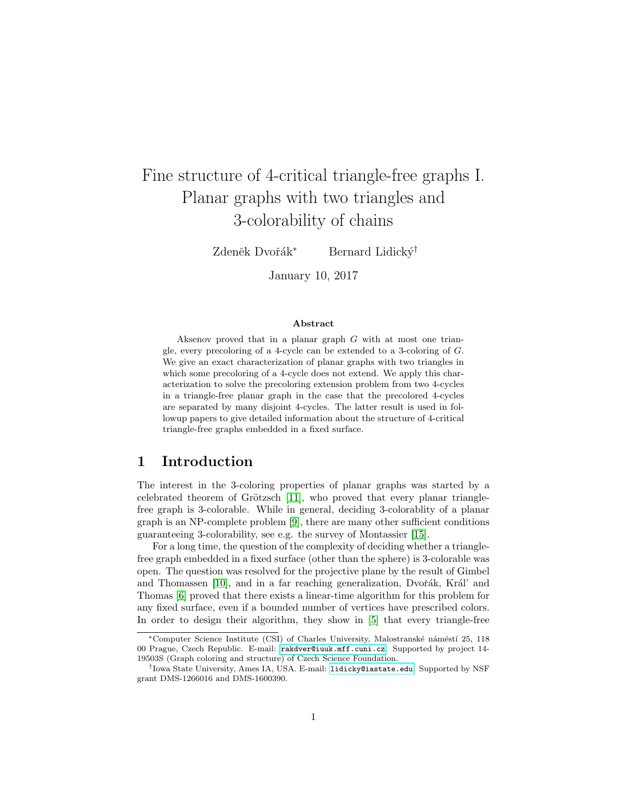# Fine structure of 4-critical triangle-free graphs I. Planar graphs with two triangles and 3-colorability of chains

Zdeněk Dvořák<sup>∗</sup> Bernard Lidický<sup>†</sup>

January 10, 2017

#### Abstract

Aksenov proved that in a planar graph G with at most one triangle, every precoloring of a 4-cycle can be extended to a 3-coloring of G. We give an exact characterization of planar graphs with two triangles in which some precoloring of a 4-cycle does not extend. We apply this characterization to solve the precoloring extension problem from two 4-cycles in a triangle-free planar graph in the case that the precolored 4-cycles are separated by many disjoint 4-cycles. The latter result is used in followup papers to give detailed information about the structure of 4-critical triangle-free graphs embedded in a fixed surface.

# 1 Introduction

The interest in the 3-coloring properties of planar graphs was started by a celebrated theorem of Grötzsch  $[11]$ , who proved that every planar trianglefree graph is 3-colorable. While in general, deciding 3-colorablity of a planar graph is an NP-complete problem [\[9\]](#page-36-1), there are many other sufficient conditions guaranteeing 3-colorability, see e.g. the survey of Montassier [\[15\]](#page-36-2).

For a long time, the question of the complexity of deciding whether a trianglefree graph embedded in a fixed surface (other than the sphere) is 3-colorable was open. The question was resolved for the projective plane by the result of Gimbel and Thomassen  $[10]$ , and in a far reaching generalization, Dvořák, Král' and Thomas [\[6\]](#page-36-4) proved that there exists a linear-time algorithm for this problem for any fixed surface, even if a bounded number of vertices have prescribed colors. In order to design their algorithm, they show in [\[5\]](#page-36-5) that every triangle-free

<sup>\*</sup>Computer Science Institute (CSI) of Charles University, Malostranské náměstí 25, 118 00 Prague, Czech Republic. E-mail: [rakdver@iuuk.mff.cuni.cz](mailto:rakdver@iuuk.mff.cuni.cz). Supported by project 14- 19503S (Graph coloring and structure) of Czech Science Foundation.

<sup>†</sup> Iowa State University, Ames IA, USA. E-mail: [lidicky@iastate.edu](mailto:lidicky@iasate.edu). Supported by NSF grant DMS-1266016 and DMS-1600390.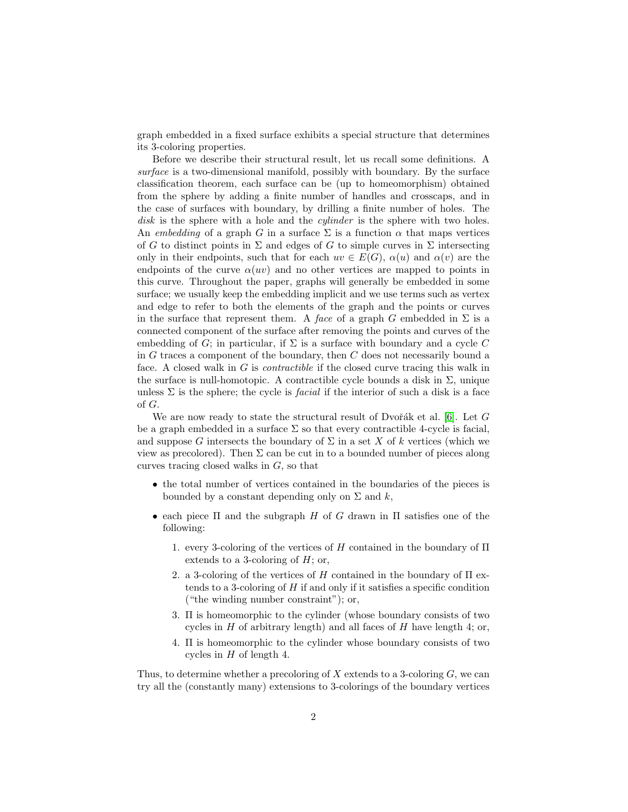graph embedded in a fixed surface exhibits a special structure that determines its 3-coloring properties.

Before we describe their structural result, let us recall some definitions. A surface is a two-dimensional manifold, possibly with boundary. By the surface classification theorem, each surface can be (up to homeomorphism) obtained from the sphere by adding a finite number of handles and crosscaps, and in the case of surfaces with boundary, by drilling a finite number of holes. The disk is the sphere with a hole and the *cylinder* is the sphere with two holes. An embedding of a graph G in a surface  $\Sigma$  is a function  $\alpha$  that maps vertices of G to distinct points in  $\Sigma$  and edges of G to simple curves in  $\Sigma$  intersecting only in their endpoints, such that for each  $uv \in E(G)$ ,  $\alpha(u)$  and  $\alpha(v)$  are the endpoints of the curve  $\alpha(uv)$  and no other vertices are mapped to points in this curve. Throughout the paper, graphs will generally be embedded in some surface; we usually keep the embedding implicit and we use terms such as vertex and edge to refer to both the elements of the graph and the points or curves in the surface that represent them. A face of a graph G embedded in  $\Sigma$  is a connected component of the surface after removing the points and curves of the embedding of G; in particular, if  $\Sigma$  is a surface with boundary and a cycle C in  $G$  traces a component of the boundary, then  $C$  does not necessarily bound a face. A closed walk in G is contractible if the closed curve tracing this walk in the surface is null-homotopic. A contractible cycle bounds a disk in  $\Sigma$ , unique unless  $\Sigma$  is the sphere; the cycle is *facial* if the interior of such a disk is a face of G.

We are now ready to state the structural result of Dvořák et al. [\[6\]](#page-36-4). Let  $G$ be a graph embedded in a surface  $\Sigma$  so that every contractible 4-cycle is facial, and suppose G intersects the boundary of  $\Sigma$  in a set X of k vertices (which we view as precolored). Then  $\Sigma$  can be cut in to a bounded number of pieces along curves tracing closed walks in G, so that

- the total number of vertices contained in the boundaries of the pieces is bounded by a constant depending only on  $\Sigma$  and  $k$ ,
- each piece  $\Pi$  and the subgraph H of G drawn in  $\Pi$  satisfies one of the following:
	- 1. every 3-coloring of the vertices of H contained in the boundary of  $\Pi$ extends to a 3-coloring of  $H$ ; or,
	- 2. a 3-coloring of the vertices of H contained in the boundary of  $\Pi$  extends to a 3-coloring of  $H$  if and only if it satisfies a specific condition ("the winding number constraint"); or,
	- 3. Π is homeomorphic to the cylinder (whose boundary consists of two cycles in  $H$  of arbitrary length) and all faces of  $H$  have length 4; or,
	- 4. Π is homeomorphic to the cylinder whose boundary consists of two cycles in  $H$  of length 4.

Thus, to determine whether a precoloring of X extends to a 3-coloring  $G$ , we can try all the (constantly many) extensions to 3-colorings of the boundary vertices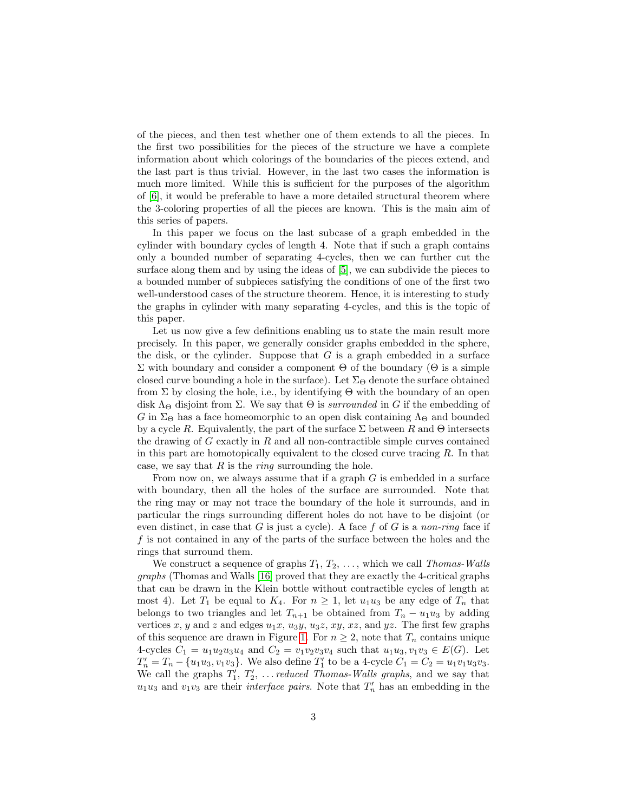of the pieces, and then test whether one of them extends to all the pieces. In the first two possibilities for the pieces of the structure we have a complete information about which colorings of the boundaries of the pieces extend, and the last part is thus trivial. However, in the last two cases the information is much more limited. While this is sufficient for the purposes of the algorithm of [\[6\]](#page-36-4), it would be preferable to have a more detailed structural theorem where the 3-coloring properties of all the pieces are known. This is the main aim of this series of papers.

In this paper we focus on the last subcase of a graph embedded in the cylinder with boundary cycles of length 4. Note that if such a graph contains only a bounded number of separating 4-cycles, then we can further cut the surface along them and by using the ideas of [\[5\]](#page-36-5), we can subdivide the pieces to a bounded number of subpieces satisfying the conditions of one of the first two well-understood cases of the structure theorem. Hence, it is interesting to study the graphs in cylinder with many separating 4-cycles, and this is the topic of this paper.

Let us now give a few definitions enabling us to state the main result more precisely. In this paper, we generally consider graphs embedded in the sphere, the disk, or the cylinder. Suppose that  $G$  is a graph embedded in a surface Σ with boundary and consider a component Θ of the boundary (Θ is a simple closed curve bounding a hole in the surface). Let  $\Sigma_{\Theta}$  denote the surface obtained from  $\Sigma$  by closing the hole, i.e., by identifying  $\Theta$  with the boundary of an open disk  $\Lambda_{\Theta}$  disjoint from  $\Sigma$ . We say that  $\Theta$  is *surrounded* in G if the embedding of G in  $\Sigma_{\Theta}$  has a face homeomorphic to an open disk containing  $\Lambda_{\Theta}$  and bounded by a cycle R. Equivalently, the part of the surface  $\Sigma$  between R and  $\Theta$  intersects the drawing of  $G$  exactly in  $R$  and all non-contractible simple curves contained in this part are homotopically equivalent to the closed curve tracing  $R$ . In that case, we say that  $R$  is the *ring* surrounding the hole.

From now on, we always assume that if a graph  $G$  is embedded in a surface with boundary, then all the holes of the surface are surrounded. Note that the ring may or may not trace the boundary of the hole it surrounds, and in particular the rings surrounding different holes do not have to be disjoint (or even distinct, in case that G is just a cycle). A face f of G is a non-ring face if f is not contained in any of the parts of the surface between the holes and the rings that surround them.

We construct a sequence of graphs  $T_1, T_2, \ldots$ , which we call Thomas-Walls graphs (Thomas and Walls [\[16\]](#page-37-0) proved that they are exactly the 4-critical graphs that can be drawn in the Klein bottle without contractible cycles of length at most 4). Let  $T_1$  be equal to  $K_4$ . For  $n \geq 1$ , let  $u_1u_3$  be any edge of  $T_n$  that belongs to two triangles and let  $T_{n+1}$  be obtained from  $T_n - u_1u_3$  by adding vertices x, y and z and edges  $u_1x, u_3y, u_3z, xy, xz$ , and yz. The first few graphs of this sequence are drawn in Figure [1.](#page-3-0) For  $n \geq 2$ , note that  $T_n$  contains unique 4-cycles  $C_1 = u_1 u_2 u_3 u_4$  and  $C_2 = v_1 v_2 v_3 v_4$  such that  $u_1 u_3, v_1 v_3 \in E(G)$ . Let  $T'_n = T_n - \{u_1u_3, v_1v_3\}$ . We also define  $T'_1$  to be a 4-cycle  $C_1 = C_2 = u_1v_1u_3v_3$ . We call the graphs  $T_1', T_2', \ldots$  reduced Thomas-Walls graphs, and we say that  $u_1u_3$  and  $v_1v_3$  are their *interface pairs*. Note that  $T'_n$  has an embedding in the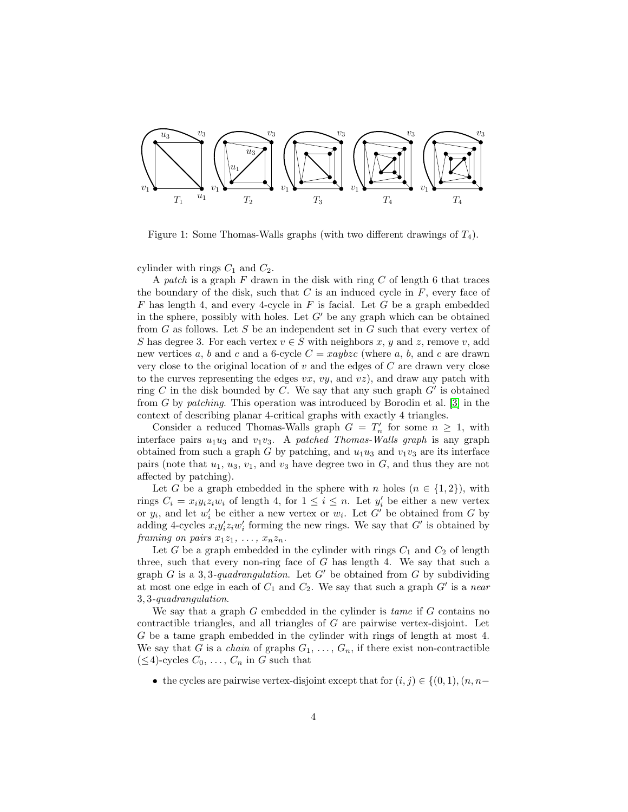

<span id="page-3-0"></span>Figure 1: Some Thomas-Walls graphs (with two different drawings of  $T_4$ ).

cylinder with rings  $C_1$  and  $C_2$ .

A patch is a graph  $F$  drawn in the disk with ring  $C$  of length 6 that traces the boundary of the disk, such that  $C$  is an induced cycle in  $F$ , every face of  $F$  has length 4, and every 4-cycle in  $F$  is facial. Let  $G$  be a graph embedded in the sphere, possibly with holes. Let  $G'$  be any graph which can be obtained from  $G$  as follows. Let  $S$  be an independent set in  $G$  such that every vertex of S has degree 3. For each vertex  $v \in S$  with neighbors x, y and z, remove v, add new vertices a, b and c and a 6-cycle  $C = xaybzc$  (where a, b, and c are drawn very close to the original location of  $v$  and the edges of  $C$  are drawn very close to the curves representing the edges  $vx, vy,$  and  $vz$ ), and draw any patch with ring C in the disk bounded by C. We say that any such graph  $G'$  is obtained from G by patching. This operation was introduced by Borodin et al. [\[3\]](#page-36-6) in the context of describing planar 4-critical graphs with exactly 4 triangles.

Consider a reduced Thomas-Walls graph  $G = T'_n$  for some  $n \geq 1$ , with interface pairs  $u_1u_3$  and  $v_1v_3$ . A patched Thomas-Walls graph is any graph obtained from such a graph G by patching, and  $u_1u_3$  and  $v_1v_3$  are its interface pairs (note that  $u_1, u_3, v_1$ , and  $v_3$  have degree two in G, and thus they are not affected by patching).

Let G be a graph embedded in the sphere with n holes  $(n \in \{1,2\})$ , with rings  $C_i = x_i y_i z_i w_i$  of length 4, for  $1 \leq i \leq n$ . Let  $y'_i$  be either a new vertex or  $y_i$ , and let  $w'_i$  be either a new vertex or  $w_i$ . Let  $G'$  be obtained from G by adding 4-cycles  $x_i y_i' z_i w_i'$  forming the new rings. We say that  $G'$  is obtained by framing on pairs  $x_1z_1, \ldots, x_nz_n$ .

Let G be a graph embedded in the cylinder with rings  $C_1$  and  $C_2$  of length three, such that every non-ring face of  $G$  has length 4. We say that such a graph G is a 3,3-quadrangulation. Let G' be obtained from G by subdividing at most one edge in each of  $C_1$  and  $C_2$ . We say that such a graph  $G'$  is a near 3, 3-quadrangulation.

We say that a graph  $G$  embedded in the cylinder is *tame* if  $G$  contains no contractible triangles, and all triangles of  $G$  are pairwise vertex-disjoint. Let G be a tame graph embedded in the cylinder with rings of length at most 4. We say that G is a *chain* of graphs  $G_1, \ldots, G_n$ , if there exist non-contractible  $(\leq 4)$ -cycles  $C_0, \ldots, C_n$  in G such that

• the cycles are pairwise vertex-disjoint except that for  $(i, j) \in \{(0, 1), (n, n-1)\}$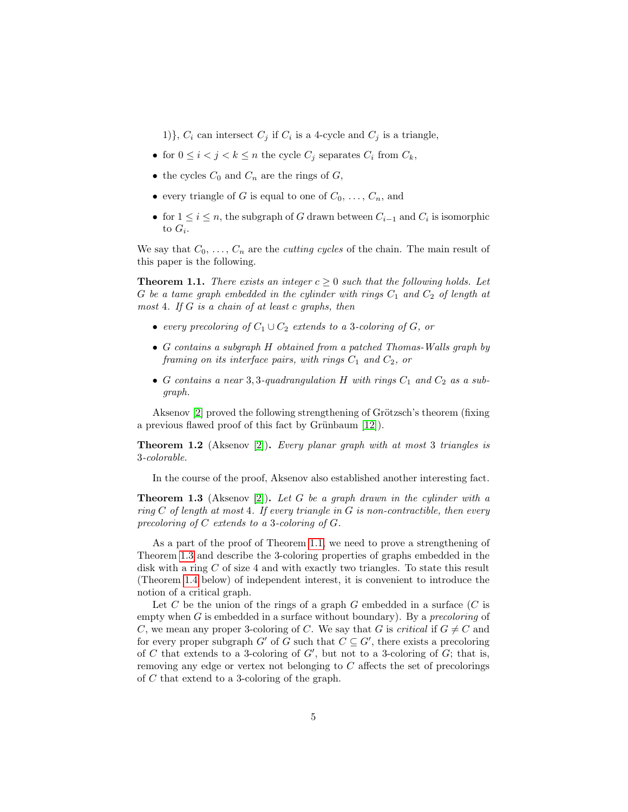1)},  $C_i$  can intersect  $C_j$  if  $C_i$  is a 4-cycle and  $C_j$  is a triangle,

- for  $0 \leq i < j < k \leq n$  the cycle  $C_j$  separates  $C_i$  from  $C_k$ ,
- the cycles  $C_0$  and  $C_n$  are the rings of  $G$ ,
- every triangle of G is equal to one of  $C_0, \ldots, C_n$ , and
- for  $1 \leq i \leq n$ , the subgraph of G drawn between  $C_{i-1}$  and  $C_i$  is isomorphic to  $G_i$ .

We say that  $C_0, \ldots, C_n$  are the *cutting cycles* of the chain. The main result of this paper is the following.

<span id="page-4-0"></span>**Theorem 1.1.** There exists an integer  $c \geq 0$  such that the following holds. Let G be a tame graph embedded in the cylinder with rings  $C_1$  and  $C_2$  of length at most 4. If  $G$  is a chain of at least  $c$  graphs, then

- every precoloring of  $C_1 \cup C_2$  extends to a 3-coloring of G, or
- G contains a subgraph H obtained from a patched Thomas-Walls graph by framing on its interface pairs, with rings  $C_1$  and  $C_2$ , or
- G contains a near 3, 3-quadrangulation H with rings  $C_1$  and  $C_2$  as a subgraph.

Aksenov  $[2]$  proved the following strengthening of Grötzsch's theorem (fixing a previous flawed proof of this fact by Grünbaum  $[12]$ ).

<span id="page-4-2"></span>**Theorem 1.2** (Aksenov [\[2\]](#page-36-7)). Every planar graph with at most 3 triangles is 3-colorable.

In the course of the proof, Aksenov also established another interesting fact.

<span id="page-4-1"></span>**Theorem 1.3** (Aksenov [\[2\]](#page-36-7)). Let G be a graph drawn in the cylinder with a ring C of length at most 4. If every triangle in G is non-contractible, then every precoloring of C extends to a 3-coloring of G.

As a part of the proof of Theorem [1.1,](#page-4-0) we need to prove a strengthening of Theorem [1.3](#page-4-1) and describe the 3-coloring properties of graphs embedded in the disk with a ring C of size 4 and with exactly two triangles. To state this result (Theorem [1.4](#page-5-0) below) of independent interest, it is convenient to introduce the notion of a critical graph.

Let C be the union of the rings of a graph G embedded in a surface  $(C$  is empty when  $G$  is embedded in a surface without boundary). By a *precoloring* of C, we mean any proper 3-coloring of C. We say that G is critical if  $G \neq C$  and for every proper subgraph  $G'$  of G such that  $C \subseteq G'$ , there exists a precoloring of C that extends to a 3-coloring of  $G'$ , but not to a 3-coloring of  $G$ ; that is, removing any edge or vertex not belonging to C affects the set of precolorings of C that extend to a 3-coloring of the graph.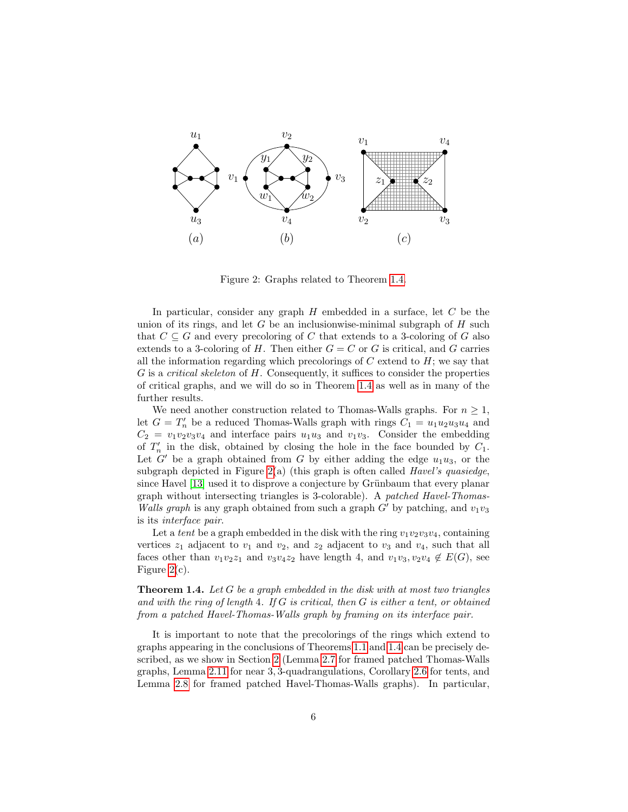

<span id="page-5-1"></span>Figure 2: Graphs related to Theorem [1.4.](#page-5-0)

In particular, consider any graph  $H$  embedded in a surface, let  $C$  be the union of its rings, and let G be an inclusionwise-minimal subgraph of  $H$  such that  $C \subseteq G$  and every precoloring of C that extends to a 3-coloring of G also extends to a 3-coloring of H. Then either  $G = C$  or G is critical, and G carries all the information regarding which precolorings of  $C$  extend to  $H$ ; we say that G is a critical skeleton of H. Consequently, it suffices to consider the properties of critical graphs, and we will do so in Theorem [1.4](#page-5-0) as well as in many of the further results.

We need another construction related to Thomas-Walls graphs. For  $n \geq 1$ , let  $G = T'_n$  be a reduced Thomas-Walls graph with rings  $C_1 = u_1 u_2 u_3 u_4$  and  $C_2 = v_1v_2v_3v_4$  and interface pairs  $u_1u_3$  and  $v_1v_3$ . Consider the embedding of  $T'_n$  in the disk, obtained by closing the hole in the face bounded by  $C_1$ . Let G' be a graph obtained from G by either adding the edge  $u_1u_3$ , or the subgraph depicted in Figure [2\(](#page-5-1)a) (this graph is often called *Havel's quasiedge*, since Havel [\[13\]](#page-36-9) used it to disprove a conjecture by Grünbaum that every planar graph without intersecting triangles is 3-colorable). A patched Havel-Thomas-Walls graph is any graph obtained from such a graph  $G'$  by patching, and  $v_1v_3$ is its interface pair.

Let a tent be a graph embedded in the disk with the ring  $v_1v_2v_3v_4$ , containing vertices  $z_1$  adjacent to  $v_1$  and  $v_2$ , and  $z_2$  adjacent to  $v_3$  and  $v_4$ , such that all faces other than  $v_1v_2z_1$  and  $v_3v_4z_2$  have length 4, and  $v_1v_3, v_2v_4 \notin E(G)$ , see Figure [2\(](#page-5-1)c).

<span id="page-5-0"></span>**Theorem 1.4.** Let G be a graph embedded in the disk with at most two triangles and with the ring of length 4. If  $G$  is critical, then  $G$  is either a tent, or obtained from a patched Havel-Thomas-Walls graph by framing on its interface pair.

It is important to note that the precolorings of the rings which extend to graphs appearing in the conclusions of Theorems [1.1](#page-4-0) and [1.4](#page-5-0) can be precisely described, as we show in Section [2](#page-6-0) (Lemma [2.7](#page-9-0) for framed patched Thomas-Walls graphs, Lemma [2.11](#page-12-0) for near 3, 3-quadrangulations, Corollary [2.6](#page-8-0) for tents, and Lemma [2.8](#page-10-0) for framed patched Havel-Thomas-Walls graphs). In particular,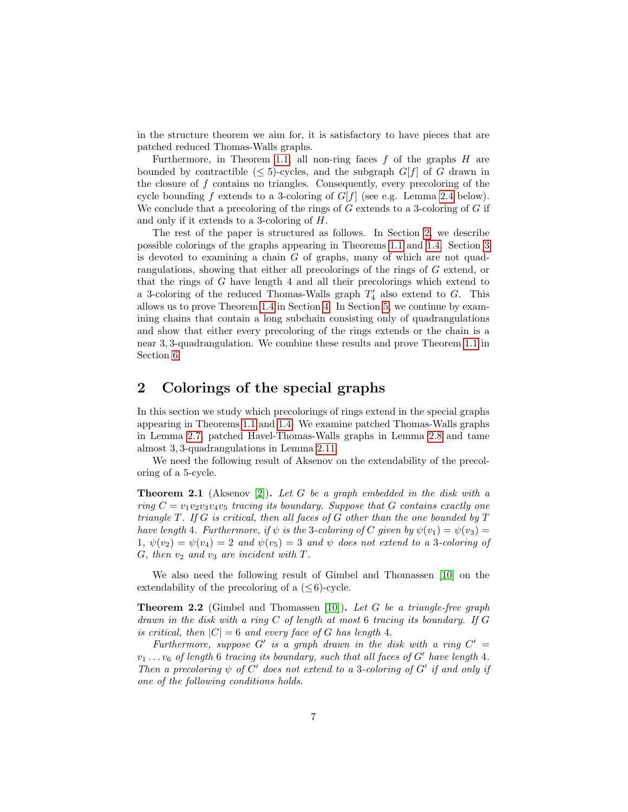in the structure theorem we aim for, it is satisfactory to have pieces that are patched reduced Thomas-Walls graphs.

Furthermore, in Theorem [1.1,](#page-4-0) all non-ring faces  $f$  of the graphs  $H$  are bounded by contractible ( $\leq$  5)-cycles, and the subgraph  $G[f]$  of G drawn in the closure of f contains no triangles. Consequently, every precoloring of the cycle bounding f extends to a 3-coloring of  $G[f]$  (see e.g. Lemma [2.4](#page-7-0) below). We conclude that a precoloring of the rings of  $G$  extends to a 3-coloring of  $G$  if and only if it extends to a 3-coloring of H.

The rest of the paper is structured as follows. In Section [2,](#page-6-0) we describe possible colorings of the graphs appearing in Theorems [1.1](#page-4-0) and [1.4.](#page-5-0) Section [3](#page-13-0) is devoted to examining a chain  $G$  of graphs, many of which are not quadrangulations, showing that either all precolorings of the rings of G extend, or that the rings of G have length 4 and all their precolorings which extend to a 3-coloring of the reduced Thomas-Walls graph  $T_4$  also extend to G. This allows us to prove Theorem [1.4](#page-5-0) in Section [4.](#page-26-0) In Section [5,](#page-32-0) we continue by examining chains that contain a long subchain consisting only of quadrangulations and show that either every precoloring of the rings extends or the chain is a near 3, 3-quadrangulation. We combine these results and prove Theorem [1.1](#page-4-0) in Section [6.](#page-35-0)

# <span id="page-6-0"></span>2 Colorings of the special graphs

In this section we study which precolorings of rings extend in the special graphs appearing in Theorems [1.1](#page-4-0) and [1.4.](#page-5-0) We examine patched Thomas-Walls graphs in Lemma [2.7,](#page-9-0) patched Havel-Thomas-Walls graphs in Lemma [2.8](#page-10-0) and tame almost 3, 3-quadrangulations in Lemma [2.11.](#page-12-0)

We need the following result of Aksenov on the extendability of the precoloring of a 5-cycle.

<span id="page-6-2"></span>**Theorem 2.1** (Aksenov [\[2\]](#page-36-7)). Let G be a graph embedded in the disk with a ring  $C = v_1v_2v_3v_4v_5$  tracing its boundary. Suppose that G contains exactly one triangle  $T$ . If  $G$  is critical, then all faces of  $G$  other than the one bounded by  $T$ have length 4. Furthermore, if  $\psi$  is the 3-coloring of C given by  $\psi(v_1) = \psi(v_3) =$  $1, \psi(v_2) = \psi(v_4) = 2$  and  $\psi(v_5) = 3$  and  $\psi$  does not extend to a 3-coloring of G, then  $v_2$  and  $v_3$  are incident with T.

We also need the following result of Gimbel and Thomassen [\[10\]](#page-36-3) on the extendability of the precoloring of a  $(\leq 6)$ -cycle.

<span id="page-6-1"></span>Theorem 2.2 (Gimbel and Thomassen [\[10\]](#page-36-3)). Let G be a triangle-free graph drawn in the disk with a ring C of length at most 6 tracing its boundary. If G is critical, then  $|C| = 6$  and every face of G has length 4.

Furthermore, suppose  $G'$  is a graph drawn in the disk with a ring  $C' =$  $v_1 \ldots v_6$  of length 6 tracing its boundary, such that all faces of G' have length 4. Then a precoloring  $\psi$  of  $C'$  does not extend to a 3-coloring of  $G'$  if and only if one of the following conditions holds.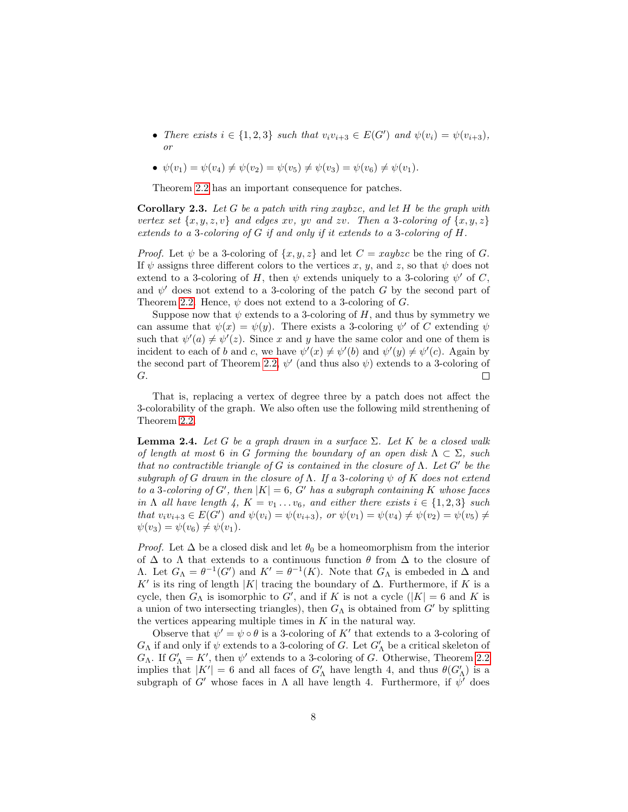- There exists  $i \in \{1,2,3\}$  such that  $v_i v_{i+3} \in E(G')$  and  $\psi(v_i) = \psi(v_{i+3}),$ or
- $\psi(v_1) = \psi(v_4) \neq \psi(v_2) = \psi(v_5) \neq \psi(v_3) = \psi(v_6) \neq \psi(v_1)$ .

Theorem [2.2](#page-6-1) has an important consequence for patches.

<span id="page-7-1"></span>**Corollary 2.3.** Let G be a patch with ring xaybzc, and let H be the graph with vertex set  $\{x, y, z, v\}$  and edges xv, yv and zv. Then a 3-coloring of  $\{x, y, z\}$ extends to a 3-coloring of G if and only if it extends to a 3-coloring of H.

*Proof.* Let  $\psi$  be a 3-coloring of  $\{x, y, z\}$  and let  $C = xaybzc$  be the ring of G. If  $\psi$  assigns three different colors to the vertices x, y, and z, so that  $\psi$  does not extend to a 3-coloring of H, then  $\psi$  extends uniquely to a 3-coloring  $\psi'$  of C, and  $\psi'$  does not extend to a 3-coloring of the patch G by the second part of Theorem [2.2.](#page-6-1) Hence,  $\psi$  does not extend to a 3-coloring of G.

Suppose now that  $\psi$  extends to a 3-coloring of H, and thus by symmetry we can assume that  $\psi(x) = \psi(y)$ . There exists a 3-coloring  $\psi'$  of C extending  $\psi$ such that  $\psi'(a) \neq \psi'(z)$ . Since x and y have the same color and one of them is incident to each of b and c, we have  $\psi'(x) \neq \psi'(b)$  and  $\psi'(y) \neq \psi'(c)$ . Again by the second part of Theorem [2.2,](#page-6-1)  $\psi'$  (and thus also  $\psi$ ) extends to a 3-coloring of G.  $\Box$ 

That is, replacing a vertex of degree three by a patch does not affect the 3-colorability of the graph. We also often use the following mild strenthening of Theorem [2.2.](#page-6-1)

<span id="page-7-0"></span>**Lemma 2.4.** Let G be a graph drawn in a surface  $\Sigma$ . Let K be a closed walk of length at most 6 in G forming the boundary of an open disk  $\Lambda \subset \Sigma$ , such that no contractible triangle of G is contained in the closure of  $\Lambda$ . Let G' be the subgraph of G drawn in the closure of  $\Lambda$ . If a 3-coloring  $\psi$  of K does not extend to a 3-coloring of G', then  $|K| = 6$ , G' has a subgraph containing K whose faces in  $\Lambda$  all have length  $\lambda$ ,  $K = v_1 \ldots v_6$ , and either there exists  $i \in \{1, 2, 3\}$  such that  $v_i v_{i+3} \in E(G')$  and  $\psi(v_i) = \psi(v_{i+3})$ , or  $\psi(v_1) = \psi(v_4) \neq \psi(v_2) = \psi(v_5) \neq \psi(v_6)$  $\psi(v_3) = \psi(v_6) \neq \psi(v_1).$ 

*Proof.* Let  $\Delta$  be a closed disk and let  $\theta_0$  be a homeomorphism from the interior of  $\Delta$  to  $\Lambda$  that extends to a continuous function  $\theta$  from  $\Delta$  to the closure of Λ. Let  $G_{\Lambda} = \theta^{-1}(G')$  and  $K' = \theta^{-1}(K)$ . Note that  $G_{\Lambda}$  is embeded in  $\Delta$  and K' is its ring of length |K| tracing the boundary of  $\Delta$ . Furthermore, if K is a cycle, then  $G_{\Lambda}$  is isomorphic to  $G'$ , and if K is not a cycle  $(|K| = 6$  and K is a union of two intersecting triangles), then  $G_{\Lambda}$  is obtained from  $G'$  by splitting the vertices appearing multiple times in  $K$  in the natural way.

Observe that  $\psi' = \psi \circ \theta$  is a 3-coloring of K' that extends to a 3-coloring of  $G_{\Lambda}$  if and only if  $\psi$  extends to a 3-coloring of G. Let  $G'_{\Lambda}$  be a critical skeleton of  $G_{\Lambda}$ . If  $G'_{\Lambda} = K'$ , then  $\psi'$  extends to a 3-coloring of G. Otherwise, Theorem [2.2](#page-6-1) implies that  $|K'| = 6$  and all faces of  $G'_{\Lambda}$  have length 4, and thus  $\theta(G'_{\Lambda})$  is a subgraph of G' whose faces in  $\Lambda$  all have length 4. Furthermore, if  $\psi'$  does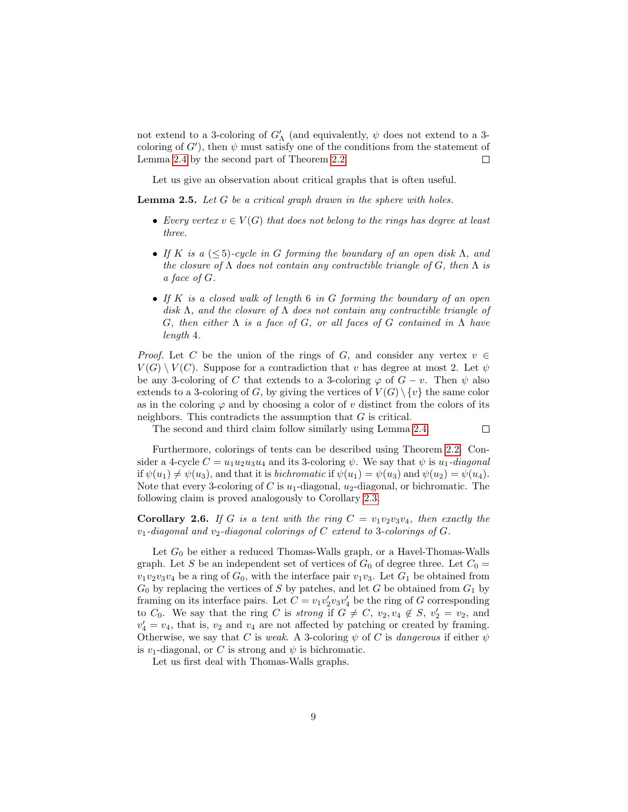not extend to a 3-coloring of  $G'_{\Lambda}$  (and equivalently,  $\psi$  does not extend to a 3coloring of G'), then  $\psi$  must satisfy one of the conditions from the statement of Lemma [2.4](#page-7-0) by the second part of Theorem [2.2.](#page-6-1)  $\Box$ 

Let us give an observation about critical graphs that is often useful.

<span id="page-8-1"></span>**Lemma 2.5.** Let  $G$  be a critical graph drawn in the sphere with holes.

- Every vertex  $v \in V(G)$  that does not belong to the rings has degree at least three.
- If K is a  $(\leq 5)$ -cycle in G forming the boundary of an open disk  $\Lambda$ , and the closure of  $\Lambda$  does not contain any contractible triangle of G, then  $\Lambda$  is a face of G.
- If  $K$  is a closed walk of length 6 in  $G$  forming the boundary of an open disk Λ, and the closure of Λ does not contain any contractible triangle of G, then either  $\Lambda$  is a face of G, or all faces of G contained in  $\Lambda$  have length 4.

*Proof.* Let C be the union of the rings of G, and consider any vertex  $v \in$  $V(G) \setminus V(C)$ . Suppose for a contradiction that v has degree at most 2. Let  $\psi$ be any 3-coloring of C that extends to a 3-coloring  $\varphi$  of  $G - v$ . Then  $\psi$  also extends to a 3-coloring of G, by giving the vertices of  $V(G) \setminus \{v\}$  the same color as in the coloring  $\varphi$  and by choosing a color of v distinct from the colors of its neighbors. This contradicts the assumption that G is critical.

The second and third claim follow similarly using Lemma [2.4.](#page-7-0)

 $\Box$ 

Furthermore, colorings of tents can be described using Theorem [2.2.](#page-6-1) Consider a 4-cycle  $C = u_1 u_2 u_3 u_4$  and its 3-coloring  $\psi$ . We say that  $\psi$  is  $u_1$ -diagonal if  $\psi(u_1) \neq \psi(u_3)$ , and that it is *bichromatic* if  $\psi(u_1) = \psi(u_3)$  and  $\psi(u_2) = \psi(u_4)$ . Note that every 3-coloring of C is  $u_1$ -diagonal,  $u_2$ -diagonal, or bichromatic. The following claim is proved analogously to Corollary [2.3.](#page-7-1)

<span id="page-8-0"></span>**Corollary 2.6.** If G is a tent with the ring  $C = v_1v_2v_3v_4$ , then exactly the  $v_1$ -diagonal and  $v_2$ -diagonal colorings of C extend to 3-colorings of G.

Let  $G_0$  be either a reduced Thomas-Walls graph, or a Havel-Thomas-Walls graph. Let S be an independent set of vertices of  $G_0$  of degree three. Let  $C_0 =$  $v_1v_2v_3v_4$  be a ring of  $G_0$ , with the interface pair  $v_1v_3$ . Let  $G_1$  be obtained from  $G_0$  by replacing the vertices of S by patches, and let G be obtained from  $G_1$  by framing on its interface pairs. Let  $C = v_1 v_2' v_3 v_4'$  be the ring of G corresponding to  $C_0$ . We say that the ring C is *strong* if  $G \neq C$ ,  $v_2, v_4 \notin S$ ,  $v'_2 = v_2$ , and  $v_4' = v_4$ , that is,  $v_2$  and  $v_4$  are not affected by patching or created by framing. Otherwise, we say that C is weak. A 3-coloring  $\psi$  of C is dangerous if either  $\psi$ is  $v_1$ -diagonal, or C is strong and  $\psi$  is bichromatic.

Let us first deal with Thomas-Walls graphs.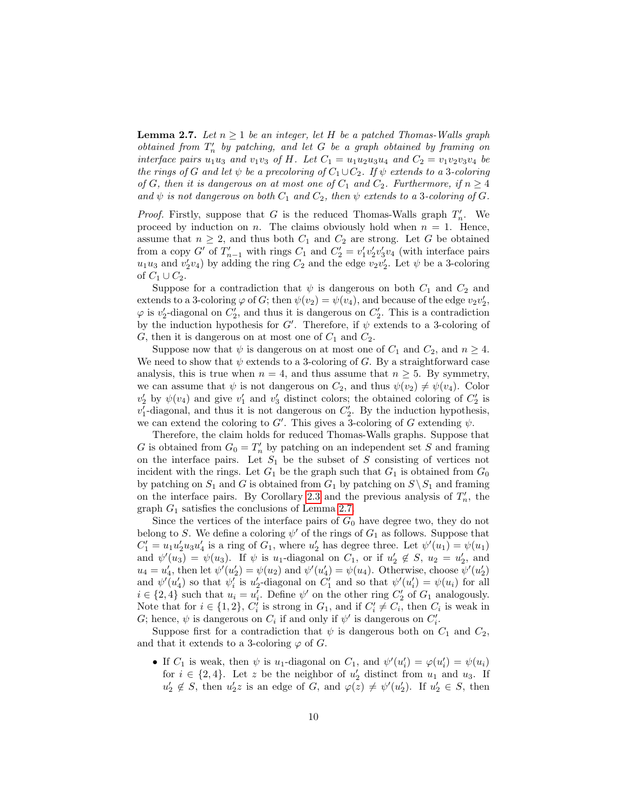<span id="page-9-0"></span>**Lemma 2.7.** Let  $n \geq 1$  be an integer, let H be a patched Thomas-Walls graph obtained from  $T'_n$  by patching, and let G be a graph obtained by framing on interface pairs  $u_1u_3$  and  $v_1v_3$  of H. Let  $C_1 = u_1u_2u_3u_4$  and  $C_2 = v_1v_2v_3v_4$  be the rings of G and let  $\psi$  be a precoloring of  $C_1\cup C_2$ . If  $\psi$  extends to a 3-coloring of G, then it is dangerous on at most one of  $C_1$  and  $C_2$ . Furthermore, if  $n \geq 4$ and  $\psi$  is not dangerous on both  $C_1$  and  $C_2$ , then  $\psi$  extends to a 3-coloring of G.

*Proof.* Firstly, suppose that G is the reduced Thomas-Walls graph  $T'_n$ . We proceed by induction on n. The claims obviously hold when  $n = 1$ . Hence, assume that  $n \geq 2$ , and thus both  $C_1$  and  $C_2$  are strong. Let G be obtained from a copy G' of  $T'_{n-1}$  with rings  $C_1$  and  $C'_2 = v'_1v'_2v'_3v_4$  (with interface pairs  $u_1u_3$  and  $v_2'v_4$ ) by adding the ring  $C_2$  and the edge  $v_2v_2'$ . Let  $\psi$  be a 3-coloring of  $C_1 \cup C_2$ .

Suppose for a contradiction that  $\psi$  is dangerous on both  $C_1$  and  $C_2$  and extends to a 3-coloring  $\varphi$  of G; then  $\psi(v_2) = \psi(v_4)$ , and because of the edge  $v_2v'_2$ ,  $\varphi$  is  $v_2'$ -diagonal on  $C_2'$ , and thus it is dangerous on  $C_2'$ . This is a contradiction by the induction hypothesis for G'. Therefore, if  $\psi$  extends to a 3-coloring of  $G$ , then it is dangerous on at most one of  $C_1$  and  $C_2$ .

Suppose now that  $\psi$  is dangerous on at most one of  $C_1$  and  $C_2$ , and  $n \geq 4$ . We need to show that  $\psi$  extends to a 3-coloring of G. By a straightforward case analysis, this is true when  $n = 4$ , and thus assume that  $n \geq 5$ . By symmetry, we can assume that  $\psi$  is not dangerous on  $C_2$ , and thus  $\psi(v_2) \neq \psi(v_4)$ . Color  $v'_2$  by  $\psi(v_4)$  and give  $v'_1$  and  $v'_3$  distinct colors; the obtained coloring of  $C'_2$  is  $v'_1$ -diagonal, and thus it is not dangerous on  $C'_2$ . By the induction hypothesis, we can extend the coloring to G'. This gives a 3-coloring of G extending  $\psi$ .

Therefore, the claim holds for reduced Thomas-Walls graphs. Suppose that G is obtained from  $G_0 = T'_n$  by patching on an independent set S and framing on the interface pairs. Let  $S_1$  be the subset of S consisting of vertices not incident with the rings. Let  $G_1$  be the graph such that  $G_1$  is obtained from  $G_0$ by patching on  $S_1$  and G is obtained from  $G_1$  by patching on  $S \setminus S_1$  and framing on the interface pairs. By Corollary [2.3](#page-7-1) and the previous analysis of  $T_n'$ , the graph  $G_1$  satisfies the conclusions of Lemma [2.7.](#page-9-0)

Since the vertices of the interface pairs of  $G_0$  have degree two, they do not belong to S. We define a coloring  $\psi'$  of the rings of  $G_1$  as follows. Suppose that  $C'_1 = u_1 u_2' u_3 u_4'$  is a ring of  $G_1$ , where  $u_2'$  has degree three. Let  $\psi'(u_1) = \psi(u_1)$ and  $\psi'(u_3) = \psi(u_3)$ . If  $\psi$  is  $u_1$ -diagonal on  $C_1$ , or if  $u'_2 \notin S$ ,  $u_2 = u'_2$ , and  $u_4 = u'_4$ , then let  $\psi'(u'_2) = \psi(u_2)$  and  $\psi'(u'_4) = \psi(u_4)$ . Otherwise, choose  $\psi'(u'_2)$ and  $\psi'(u'_4)$  so that  $\psi'_i$  is  $u'_2$ -diagonal on  $C'_1$  and so that  $\psi'(u'_i) = \psi(u_i)$  for all  $i \in \{2, 4\}$  such that  $u_i = u'_i$ . Define  $\psi'$  on the other ring  $C'_2$  of  $G_1$  analogously. Note that for  $i \in \{1,2\}$ ,  $C_i'$  is strong in  $G_1$ , and if  $C_i' \neq C_i$ , then  $C_i$  is weak in G; hence,  $\psi$  is dangerous on  $C_i$  if and only if  $\psi'$  is dangerous on  $C_i'$ .

Suppose first for a contradiction that  $\psi$  is dangerous both on  $C_1$  and  $C_2$ , and that it extends to a 3-coloring  $\varphi$  of G.

• If  $C_1$  is weak, then  $\psi$  is  $u_1$ -diagonal on  $C_1$ , and  $\psi'(u'_i) = \varphi(u'_i) = \psi(u_i)$ for  $i \in \{2, 4\}$ . Let z be the neighbor of  $u'_2$  distinct from  $u_1$  and  $u_3$ . If  $u'_2 \notin S$ , then  $u'_2z$  is an edge of G, and  $\varphi(z) \neq \psi'(u'_2)$ . If  $u'_2 \in S$ , then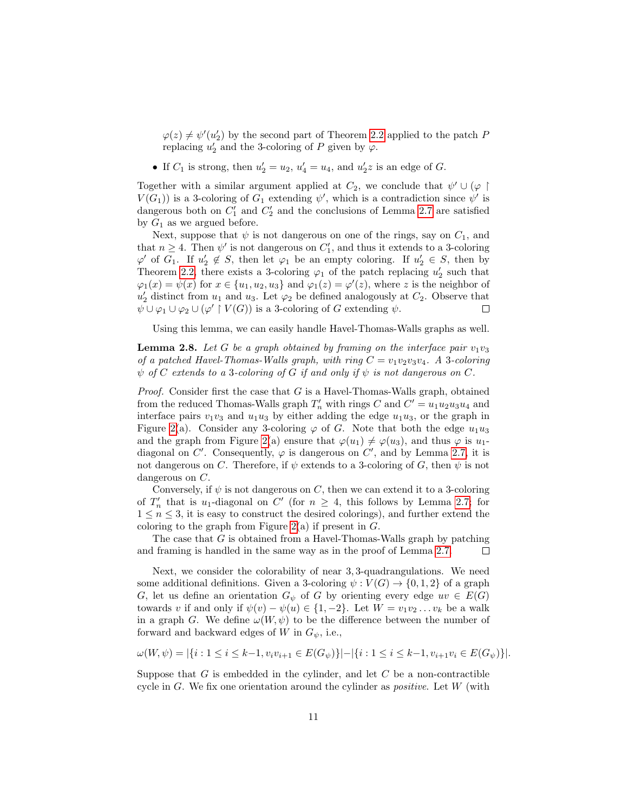$\varphi(z) \neq \psi'(u'_2)$  by the second part of Theorem [2.2](#page-6-1) applied to the patch P replacing  $u_2'$  and the 3-coloring of P given by  $\varphi$ .

• If  $C_1$  is strong, then  $u'_2 = u_2$ ,  $u'_4 = u_4$ , and  $u'_2 z$  is an edge of  $G$ .

Together with a similar argument applied at  $C_2$ , we conclude that  $\psi' \cup (\varphi)$  $V(G_1)$ ) is a 3-coloring of  $G_1$  extending  $\psi'$ , which is a contradiction since  $\psi'$  is dangerous both on  $C_1'$  and  $C_2'$  and the conclusions of Lemma [2.7](#page-9-0) are satisfied by  $G_1$  as we argued before.

Next, suppose that  $\psi$  is not dangerous on one of the rings, say on  $C_1$ , and that  $n \geq 4$ . Then  $\psi'$  is not dangerous on  $C'_1$ , and thus it extends to a 3-coloring  $\varphi'$  of  $G_1$ . If  $u'_2 \notin S$ , then let  $\varphi_1$  be an empty coloring. If  $u'_2 \in S$ , then by Theorem [2.2,](#page-6-1) there exists a 3-coloring  $\varphi_1$  of the patch replacing  $u'_2$  such that  $\varphi_1(x) = \psi(x)$  for  $x \in \{u_1, u_2, u_3\}$  and  $\varphi_1(z) = \varphi'(z)$ , where z is the neighbor of  $u'_2$  distinct from  $u_1$  and  $u_3$ . Let  $\varphi_2$  be defined analogously at  $C_2$ . Observe that  $\overline{\psi} \cup \varphi_1 \cup \varphi_2 \cup (\varphi' \restriction V(G))$  is a 3-coloring of G extending  $\psi$ .

Using this lemma, we can easily handle Havel-Thomas-Walls graphs as well.

<span id="page-10-0"></span>**Lemma 2.8.** Let G be a graph obtained by framing on the interface pair  $v_1v_3$ of a patched Havel-Thomas-Walls graph, with ring  $C = v_1v_2v_3v_4$ . A 3-coloring  $\psi$  of C extends to a 3-coloring of G if and only if  $\psi$  is not dangerous on C.

*Proof.* Consider first the case that  $G$  is a Havel-Thomas-Walls graph, obtained from the reduced Thomas-Walls graph  $T'_n$  with rings C and  $C' = u_1 u_2 u_3 u_4$  and interface pairs  $v_1v_3$  and  $u_1u_3$  by either adding the edge  $u_1u_3$ , or the graph in Figure [2\(](#page-5-1)a). Consider any 3-coloring  $\varphi$  of G. Note that both the edge  $u_1u_3$ and the graph from Figure [2\(](#page-5-1)a) ensure that  $\varphi(u_1) \neq \varphi(u_3)$ , and thus  $\varphi$  is  $u_1$ diagonal on C'. Consequently,  $\varphi$  is dangerous on C', and by Lemma [2.7,](#page-9-0) it is not dangerous on C. Therefore, if  $\psi$  extends to a 3-coloring of G, then  $\psi$  is not dangerous on C.

Conversely, if  $\psi$  is not dangerous on C, then we can extend it to a 3-coloring of  $T'_n$  that is u<sub>1</sub>-diagonal on C' (for  $n \geq 4$ , this follows by Lemma [2.7;](#page-9-0) for  $1 \leq n \leq 3$ , it is easy to construct the desired colorings), and further extend the coloring to the graph from Figure [2\(](#page-5-1)a) if present in  $G$ .

The case that G is obtained from a Havel-Thomas-Walls graph by patching and framing is handled in the same way as in the proof of Lemma [2.7.](#page-9-0)  $\Box$ 

Next, we consider the colorability of near 3, 3-quadrangulations. We need some additional definitions. Given a 3-coloring  $\psi: V(G) \to \{0, 1, 2\}$  of a graph G, let us define an orientation  $G_{\psi}$  of G by orienting every edge  $uv \in E(G)$ towards v if and only if  $\psi(v) - \psi(u) \in \{1, -2\}$ . Let  $W = v_1v_2 \dots v_k$  be a walk in a graph G. We define  $\omega(W, \psi)$  to be the difference between the number of forward and backward edges of W in  $G_{\psi}$ , i.e.,

$$
\omega(W, \psi) = |\{i : 1 \le i \le k-1, v_i v_{i+1} \in E(G_{\psi})\}| - |\{i : 1 \le i \le k-1, v_{i+1} v_i \in E(G_{\psi})\}|.
$$

Suppose that  $G$  is embedded in the cylinder, and let  $C$  be a non-contractible cycle in  $G$ . We fix one orientation around the cylinder as *positive*. Let  $W$  (with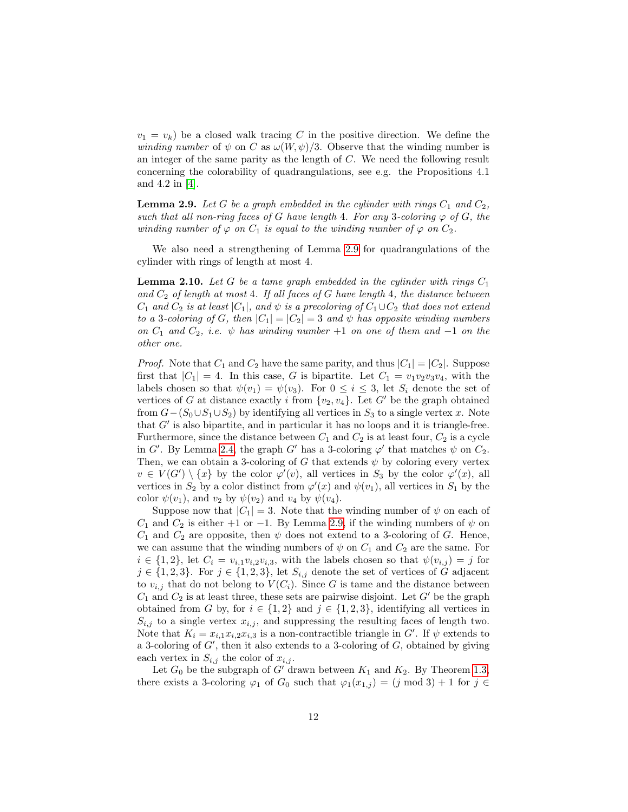$v_1 = v_k$ ) be a closed walk tracing C in the positive direction. We define the winding number of  $\psi$  on C as  $\omega(W, \psi)/3$ . Observe that the winding number is an integer of the same parity as the length of C. We need the following result concerning the colorability of quadrangulations, see e.g. the Propositions 4.1 and 4.2 in [\[4\]](#page-36-10).

<span id="page-11-0"></span>**Lemma 2.9.** Let G be a graph embedded in the cylinder with rings  $C_1$  and  $C_2$ , such that all non-ring faces of G have length 4. For any 3-coloring  $\varphi$  of G, the winding number of  $\varphi$  on  $C_1$  is equal to the winding number of  $\varphi$  on  $C_2$ .

We also need a strengthening of Lemma [2.9](#page-11-0) for quadrangulations of the cylinder with rings of length at most 4.

<span id="page-11-1"></span>**Lemma 2.10.** Let G be a tame graph embedded in the cylinder with rings  $C_1$ and  $C_2$  of length at most 4. If all faces of G have length 4, the distance between  $C_1$  and  $C_2$  is at least  $|C_1|$ , and  $\psi$  is a precoloring of  $C_1 \cup C_2$  that does not extend to a 3-coloring of G, then  $|C_1| = |C_2| = 3$  and  $\psi$  has opposite winding numbers on  $C_1$  and  $C_2$ , i.e.  $\psi$  has winding number +1 on one of them and -1 on the other one.

*Proof.* Note that  $C_1$  and  $C_2$  have the same parity, and thus  $|C_1| = |C_2|$ . Suppose first that  $|C_1| = 4$ . In this case, G is bipartite. Let  $C_1 = v_1v_2v_3v_4$ , with the labels chosen so that  $\psi(v_1) = \psi(v_3)$ . For  $0 \leq i \leq 3$ , let  $S_i$  denote the set of vertices of G at distance exactly i from  $\{v_2, v_4\}$ . Let G' be the graph obtained from  $G-(S_0\cup S_1\cup S_2)$  by identifying all vertices in  $S_3$  to a single vertex x. Note that  $G'$  is also bipartite, and in particular it has no loops and it is triangle-free. Furthermore, since the distance between  $C_1$  and  $C_2$  is at least four,  $C_2$  is a cycle in G'. By Lemma [2.4,](#page-7-0) the graph G' has a 3-coloring  $\varphi'$  that matches  $\psi$  on  $C_2$ . Then, we can obtain a 3-coloring of G that extends  $\psi$  by coloring every vertex  $v \in V(G') \setminus \{x\}$  by the color  $\varphi'(v)$ , all vertices in  $S_3$  by the color  $\varphi'(x)$ , all vertices in  $S_2$  by a color distinct from  $\varphi'(x)$  and  $\psi(v_1)$ , all vertices in  $S_1$  by the color  $\psi(v_1)$ , and  $v_2$  by  $\psi(v_2)$  and  $v_4$  by  $\psi(v_4)$ .

Suppose now that  $|C_1| = 3$ . Note that the winding number of  $\psi$  on each of  $C_1$  and  $C_2$  is either +1 or -1. By Lemma [2.9,](#page-11-0) if the winding numbers of  $\psi$  on  $C_1$  and  $C_2$  are opposite, then  $\psi$  does not extend to a 3-coloring of G. Hence, we can assume that the winding numbers of  $\psi$  on  $C_1$  and  $C_2$  are the same. For  $i \in \{1,2\}$ , let  $C_i = v_{i,1}v_{i,2}v_{i,3}$ , with the labels chosen so that  $\psi(v_{i,j}) = j$  for  $j \in \{1,2,3\}$ . For  $j \in \{1,2,3\}$ , let  $S_{i,j}$  denote the set of vertices of G adjacent to  $v_{i,j}$  that do not belong to  $V(C_i)$ . Since G is tame and the distance between  $C_1$  and  $C_2$  is at least three, these sets are pairwise disjoint. Let G' be the graph obtained from G by, for  $i \in \{1,2\}$  and  $j \in \{1,2,3\}$ , identifying all vertices in  $S_{i,j}$  to a single vertex  $x_{i,j}$ , and suppressing the resulting faces of length two. Note that  $K_i = x_{i,1}x_{i,2}x_{i,3}$  is a non-contractible triangle in G'. If  $\psi$  extends to a 3-coloring of  $G'$ , then it also extends to a 3-coloring of  $G$ , obtained by giving each vertex in  $S_{i,j}$  the color of  $x_{i,j}$ .

Let  $G_0$  be the subgraph of G' drawn between  $K_1$  and  $K_2$ . By Theorem [1.3,](#page-4-1) there exists a 3-coloring  $\varphi_1$  of  $G_0$  such that  $\varphi_1(x_{1,j}) = (j \mod 3) + 1$  for  $j \in$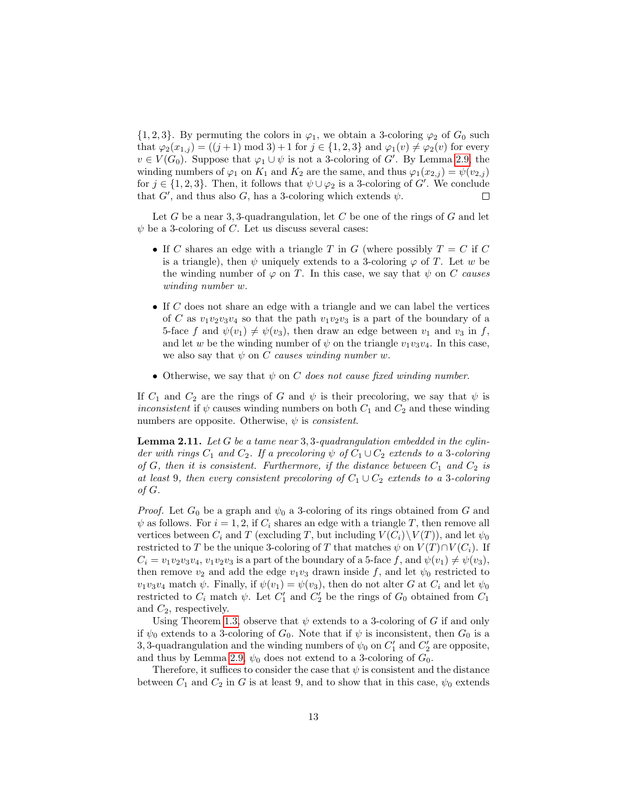${1, 2, 3}$ . By permuting the colors in  $\varphi_1$ , we obtain a 3-coloring  $\varphi_2$  of  $G_0$  such that  $\varphi_2(x_{1,j}) = ((j+1) \mod 3) + 1$  for  $j \in \{1,2,3\}$  and  $\varphi_1(v) \neq \varphi_2(v)$  for every  $v \in V(G_0)$ . Suppose that  $\varphi_1 \cup \psi$  is not a 3-coloring of G'. By Lemma [2.9,](#page-11-0) the winding numbers of  $\varphi_1$  on  $K_1$  and  $K_2$  are the same, and thus  $\varphi_1(x_{2,j}) = \psi(v_{2,j})$ for  $j \in \{1, 2, 3\}$ . Then, it follows that  $\psi \cup \varphi_2$  is a 3-coloring of G'. We conclude that  $G'$ , and thus also G, has a 3-coloring which extends  $\psi$ .  $\Box$ 

Let G be a near 3, 3-quadrangulation, let C be one of the rings of G and let  $\psi$  be a 3-coloring of C. Let us discuss several cases:

- If C shares an edge with a triangle T in G (where possibly  $T = C$  if C is a triangle), then  $\psi$  uniquely extends to a 3-coloring  $\varphi$  of T. Let w be the winding number of  $\varphi$  on T. In this case, we say that  $\psi$  on C causes winding number w.
- $\bullet$  If C does not share an edge with a triangle and we can label the vertices of C as  $v_1v_2v_3v_4$  so that the path  $v_1v_2v_3$  is a part of the boundary of a 5-face f and  $\psi(v_1) \neq \psi(v_3)$ , then draw an edge between  $v_1$  and  $v_3$  in f, and let w be the winding number of  $\psi$  on the triangle  $v_1v_3v_4$ . In this case, we also say that  $\psi$  on C causes winding number w.
- Otherwise, we say that  $\psi$  on C does not cause fixed winding number.

If  $C_1$  and  $C_2$  are the rings of G and  $\psi$  is their precoloring, we say that  $\psi$  is *inconsistent* if  $\psi$  causes winding numbers on both  $C_1$  and  $C_2$  and these winding numbers are opposite. Otherwise,  $\psi$  is *consistent*.

<span id="page-12-0"></span>**Lemma 2.11.** Let G be a tame near 3, 3-quadrangulation embedded in the cylinder with rings  $C_1$  and  $C_2$ . If a precoloring  $\psi$  of  $C_1 \cup C_2$  extends to a 3-coloring of  $G$ , then it is consistent. Furthermore, if the distance between  $C_1$  and  $C_2$  is at least 9, then every consistent precoloring of  $C_1 \cup C_2$  extends to a 3-coloring of G.

*Proof.* Let  $G_0$  be a graph and  $\psi_0$  a 3-coloring of its rings obtained from G and  $\psi$  as follows. For  $i = 1, 2$ , if  $C_i$  shares an edge with a triangle T, then remove all vertices between  $C_i$  and T (excluding T, but including  $V(C_i)\setminus V(T)$ ), and let  $\psi_0$ restricted to T be the unique 3-coloring of T that matches  $\psi$  on  $V(T) \cap V(C_i)$ . If  $C_i = v_1v_2v_3v_4$ ,  $v_1v_2v_3$  is a part of the boundary of a 5-face f, and  $\psi(v_1) \neq \psi(v_3)$ , then remove  $v_2$  and add the edge  $v_1v_3$  drawn inside f, and let  $\psi_0$  restricted to  $v_1v_3v_4$  match  $\psi$ . Finally, if  $\psi(v_1) = \psi(v_3)$ , then do not alter G at  $C_i$  and let  $\psi_0$ restricted to  $C_i$  match  $\psi$ . Let  $C'_1$  and  $C'_2$  be the rings of  $G_0$  obtained from  $C_1$ and  $C_2$ , respectively.

Using Theorem [1.3,](#page-4-1) observe that  $\psi$  extends to a 3-coloring of G if and only if  $\psi_0$  extends to a 3-coloring of  $G_0$ . Note that if  $\psi$  is inconsistent, then  $G_0$  is a 3, 3-quadrangulation and the winding numbers of  $\psi_0$  on  $C'_1$  and  $C'_2$  are opposite, and thus by Lemma [2.9,](#page-11-0)  $\psi_0$  does not extend to a 3-coloring of  $G_0$ .

Therefore, it suffices to consider the case that  $\psi$  is consistent and the distance between  $C_1$  and  $C_2$  in G is at least 9, and to show that in this case,  $\psi_0$  extends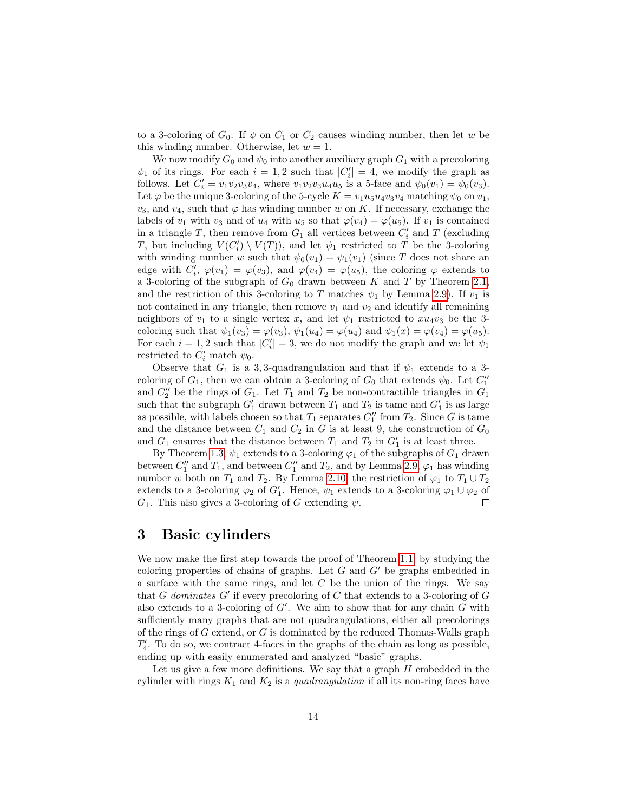to a 3-coloring of  $G_0$ . If  $\psi$  on  $C_1$  or  $C_2$  causes winding number, then let w be this winding number. Otherwise, let  $w = 1$ .

We now modify  $G_0$  and  $\psi_0$  into another auxiliary graph  $G_1$  with a precoloring  $\psi_1$  of its rings. For each  $i = 1, 2$  such that  $|C_i'| = 4$ , we modify the graph as follows. Let  $C'_i = v_1v_2v_3v_4$ , where  $v_1v_2v_3u_4u_5$  is a 5-face and  $\psi_0(v_1) = \psi_0(v_3)$ . Let  $\varphi$  be the unique 3-coloring of the 5-cycle  $K = v_1u_5u_4v_3v_4$  matching  $\psi_0$  on  $v_1$ ,  $v_3$ , and  $v_4$ , such that  $\varphi$  has winding number w on K. If necessary, exchange the labels of  $v_1$  with  $v_3$  and of  $u_4$  with  $u_5$  so that  $\varphi(v_4) = \varphi(u_5)$ . If  $v_1$  is contained in a triangle T, then remove from  $G_1$  all vertices between  $C_i'$  and T (excluding T, but including  $V(C_i') \setminus V(T)$ , and let  $\psi_1$  restricted to T be the 3-coloring with winding number w such that  $\psi_0(v_1) = \psi_1(v_1)$  (since T does not share an edge with  $C_i'$ ,  $\varphi(v_1) = \varphi(v_3)$ , and  $\varphi(v_4) = \varphi(u_5)$ , the coloring  $\varphi$  extends to a 3-coloring of the subgraph of  $G_0$  drawn between K and T by Theorem [2.1,](#page-6-2) and the restriction of this 3-coloring to T matches  $\psi_1$  by Lemma [2.9\)](#page-11-0). If  $v_1$  is not contained in any triangle, then remove  $v_1$  and  $v_2$  and identify all remaining neighbors of  $v_1$  to a single vertex x, and let  $\psi_1$  restricted to  $x u_4 v_3$  be the 3coloring such that  $\psi_1(v_3) = \varphi(v_3)$ ,  $\psi_1(u_4) = \varphi(u_4)$  and  $\psi_1(x) = \varphi(v_4) = \varphi(u_5)$ . For each  $i = 1, 2$  such that  $|C_i'| = 3$ , we do not modify the graph and we let  $\psi_1$ restricted to  $C_i'$  match  $\psi_0$ .

Observe that  $G_1$  is a 3,3-quadrangulation and that if  $\psi_1$  extends to a 3coloring of  $G_1$ , then we can obtain a 3-coloring of  $G_0$  that extends  $\psi_0$ . Let  $C_1''$ and  $C''_2$  be the rings of  $G_1$ . Let  $T_1$  and  $T_2$  be non-contractible triangles in  $G_1$ such that the subgraph  $G'_1$  drawn between  $T_1$  and  $T_2$  is tame and  $G'_1$  is as large as possible, with labels chosen so that  $T_1$  separates  $C''_1$  from  $T_2$ . Since G is tame and the distance between  $C_1$  and  $C_2$  in G is at least 9, the construction of  $G_0$ and  $G_1$  ensures that the distance between  $T_1$  and  $T_2$  in  $G'_1$  is at least three.

By Theorem [1.3,](#page-4-1)  $\psi_1$  extends to a 3-coloring  $\varphi_1$  of the subgraphs of  $G_1$  drawn between  $C_1''$  and  $T_1$ , and between  $C_1''$  and  $T_2$ , and by Lemma [2.9,](#page-11-0)  $\varphi_1$  has winding number w both on  $T_1$  and  $T_2$ . By Lemma [2.10,](#page-11-1) the restriction of  $\varphi_1$  to  $T_1 \cup T_2$ extends to a 3-coloring  $\varphi_2$  of  $G_1'$ . Hence,  $\psi_1$  extends to a 3-coloring  $\varphi_1 \cup \varphi_2$  of  $G_1$ . This also gives a 3-coloring of G extending  $\psi$ .  $\Box$ 

# <span id="page-13-0"></span>3 Basic cylinders

We now make the first step towards the proof of Theorem [1.1,](#page-4-0) by studying the coloring properties of chains of graphs. Let  $G$  and  $G'$  be graphs embedded in a surface with the same rings, and let  $C$  be the union of the rings. We say that G dominates  $G'$  if every precoloring of C that extends to a 3-coloring of G also extends to a 3-coloring of  $G'$ . We aim to show that for any chain  $G$  with sufficiently many graphs that are not quadrangulations, either all precolorings of the rings of G extend, or G is dominated by the reduced Thomas-Walls graph  $T_4'$ . To do so, we contract 4-faces in the graphs of the chain as long as possible, ending up with easily enumerated and analyzed "basic" graphs.

Let us give a few more definitions. We say that a graph  $H$  embedded in the cylinder with rings  $K_1$  and  $K_2$  is a *quadrangulation* if all its non-ring faces have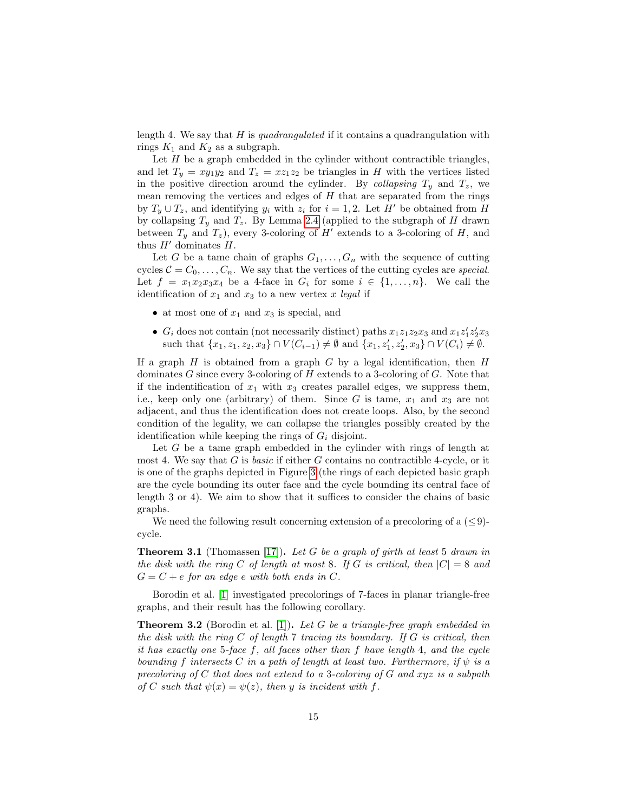length 4. We say that  $H$  is quadrangulated if it contains a quadrangulation with rings  $K_1$  and  $K_2$  as a subgraph.

Let  $H$  be a graph embedded in the cylinder without contractible triangles, and let  $T_y = xy_1y_2$  and  $T_z = xz_1z_2$  be triangles in H with the vertices listed in the positive direction around the cylinder. By collapsing  $T_y$  and  $T_z$ , we mean removing the vertices and edges of  $H$  that are separated from the rings by  $T_y \cup T_z$ , and identifying  $y_i$  with  $z_i$  for  $i = 1, 2$ . Let H' be obtained from H by collapsing  $T_y$  and  $T_z$ . By Lemma [2.4](#page-7-0) (applied to the subgraph of H drawn between  $T_y$  and  $T_z$ ), every 3-coloring of H' extends to a 3-coloring of H, and thus  $H'$  dominates  $H$ .

Let G be a tame chain of graphs  $G_1, \ldots, G_n$  with the sequence of cutting cycles  $C = C_0, \ldots, C_n$ . We say that the vertices of the cutting cycles are special. Let  $f = x_1x_2x_3x_4$  be a 4-face in  $G_i$  for some  $i \in \{1, \ldots, n\}$ . We call the identification of  $x_1$  and  $x_3$  to a new vertex x legal if

- at most one of  $x_1$  and  $x_3$  is special, and
- $G_i$  does not contain (not necessarily distinct) paths  $x_1z_1z_2x_3$  and  $x_1z_1'z_2'x_3$ such that  $\{x_1, z_1, z_2, x_3\} \cap V(C_{i-1}) \neq \emptyset$  and  $\{x_1, z'_1, z'_2, x_3\} \cap V(C_i) \neq \emptyset$ .

If a graph  $H$  is obtained from a graph  $G$  by a legal identification, then  $H$ dominates  $G$  since every 3-coloring of  $H$  extends to a 3-coloring of  $G$ . Note that if the indentification of  $x_1$  with  $x_3$  creates parallel edges, we suppress them, i.e., keep only one (arbitrary) of them. Since  $G$  is tame,  $x_1$  and  $x_3$  are not adjacent, and thus the identification does not create loops. Also, by the second condition of the legality, we can collapse the triangles possibly created by the identification while keeping the rings of  $G_i$  disjoint.

Let G be a tame graph embedded in the cylinder with rings of length at most 4. We say that G is *basic* if either G contains no contractible 4-cycle, or it is one of the graphs depicted in Figure [3](#page-15-0) (the rings of each depicted basic graph are the cycle bounding its outer face and the cycle bounding its central face of length 3 or 4). We aim to show that it suffices to consider the chains of basic graphs.

We need the following result concerning extension of a precoloring of a  $(\leq 9)$ cycle.

<span id="page-14-0"></span>**Theorem 3.1** (Thomassen [\[17\]](#page-37-1)). Let G be a graph of girth at least 5 drawn in the disk with the ring C of length at most 8. If G is critical, then  $|C| = 8$  and  $G = C + e$  for an edge e with both ends in C.

Borodin et al. [\[1\]](#page-36-11) investigated precolorings of 7-faces in planar triangle-free graphs, and their result has the following corollary.

<span id="page-14-1"></span>**Theorem 3.2** (Borodin et al. [\[1\]](#page-36-11)). Let G be a triangle-free graph embedded in the disk with the ring  $C$  of length 7 tracing its boundary. If  $G$  is critical, then it has exactly one  $5$ -face f, all faces other than f have length 4, and the cycle bounding f intersects C in a path of length at least two. Furthermore, if  $\psi$  is a precoloring of C that does not extend to a 3-coloring of G and  $xyz$  is a subpath of C such that  $\psi(x) = \psi(z)$ , then y is incident with f.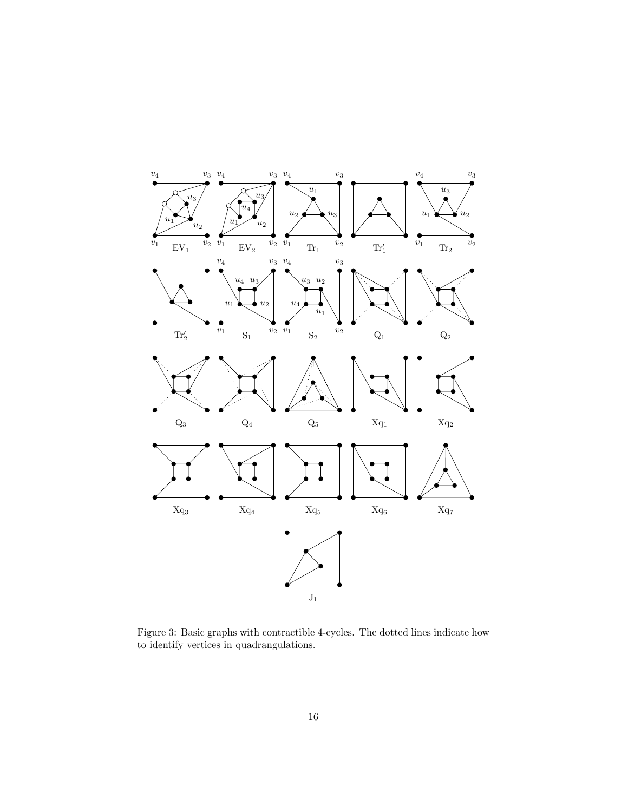

<span id="page-15-0"></span>Figure 3: Basic graphs with contractible 4-cycles. The dotted lines indicate how to identify vertices in quadrangulations.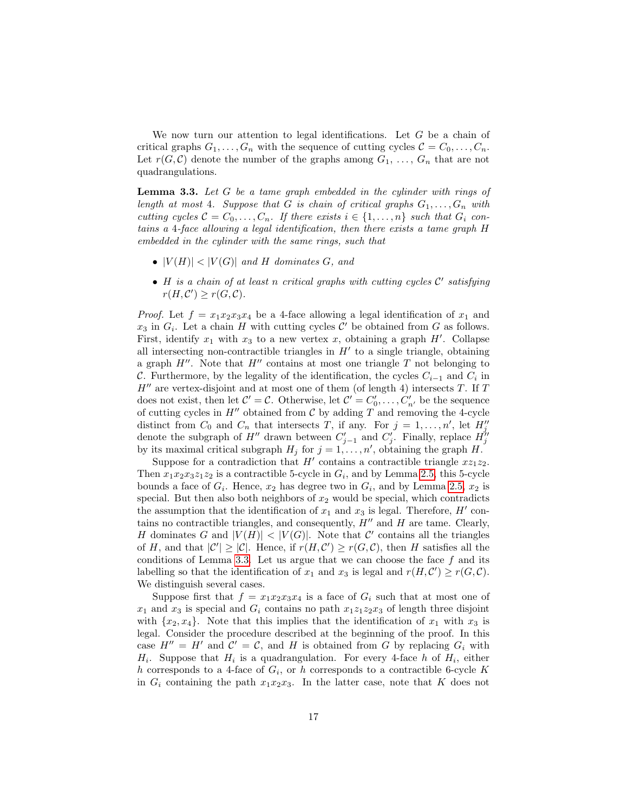We now turn our attention to legal identifications. Let  $G$  be a chain of critical graphs  $G_1, \ldots, G_n$  with the sequence of cutting cycles  $C = C_0, \ldots, C_n$ . Let  $r(G, \mathcal{C})$  denote the number of the graphs among  $G_1, \ldots, G_n$  that are not quadrangulations.

<span id="page-16-0"></span>**Lemma 3.3.** Let  $G$  be a tame graph embedded in the cylinder with rings of length at most 4. Suppose that G is chain of critical graphs  $G_1, \ldots, G_n$  with cutting cycles  $C = C_0, \ldots, C_n$ . If there exists  $i \in \{1, \ldots, n\}$  such that  $G_i$  contains a 4-face allowing a legal identification, then there exists a tame graph H embedded in the cylinder with the same rings, such that

- $|V(H)| < |V(G)|$  and H dominates G, and
- H is a chain of at least n critical graphs with cutting cycles  $\mathcal{C}'$  satisfying  $r(H, \mathcal{C}') \geq r(G, \mathcal{C}).$

*Proof.* Let  $f = x_1x_2x_3x_4$  be a 4-face allowing a legal identification of  $x_1$  and  $x_3$  in  $G_i$ . Let a chain H with cutting cycles C' be obtained from G as follows. First, identify  $x_1$  with  $x_3$  to a new vertex x, obtaining a graph  $H'$ . Collapse all intersecting non-contractible triangles in  $H'$  to a single triangle, obtaining a graph  $H''$ . Note that  $H''$  contains at most one triangle T not belonging to C. Furthermore, by the legality of the identification, the cycles  $C_{i-1}$  and  $C_i$  in  $H''$  are vertex-disjoint and at most one of them (of length 4) intersects T. If T does not exist, then let  $\mathcal{C}' = \mathcal{C}$ . Otherwise, let  $\mathcal{C}' = C'_0, \ldots, C'_{n'}$  be the sequence of cutting cycles in  $H''$  obtained from  $\mathcal C$  by adding  $T$  and removing the 4-cycle distinct from  $C_0$  and  $C_n$  that intersects T, if any. For  $j = 1, \ldots, n'$ , let  $H_j''$ denote the subgraph of  $H''$  drawn between  $C'_{j-1}$  and  $C'_{j}$ . Finally, replace  $H''_j$ by its maximal critical subgraph  $H_j$  for  $j = 1, ..., n'$ , obtaining the graph H.

Suppose for a contradiction that  $H'$  contains a contractible triangle  $xz_1z_2$ . Then  $x_1x_2x_3z_1z_2$  is a contractible 5-cycle in  $G_i$ , and by Lemma [2.5,](#page-8-1) this 5-cycle bounds a face of  $G_i$ . Hence,  $x_2$  has degree two in  $G_i$ , and by Lemma [2.5,](#page-8-1)  $x_2$  is special. But then also both neighbors of  $x_2$  would be special, which contradicts the assumption that the identification of  $x_1$  and  $x_3$  is legal. Therefore,  $H'$  contains no contractible triangles, and consequently,  $H''$  and  $H$  are tame. Clearly, H dominates G and  $|V(H)| < |V(G)|$ . Note that C' contains all the triangles of H, and that  $|\mathcal{C}'| \geq |\mathcal{C}|$ . Hence, if  $r(H, \mathcal{C}') \geq r(G, \mathcal{C})$ , then H satisfies all the conditions of Lemma [3.3.](#page-16-0) Let us argue that we can choose the face  $f$  and its labelling so that the identification of  $x_1$  and  $x_3$  is legal and  $r(H, C') \ge r(G, C)$ . We distinguish several cases.

Suppose first that  $f = x_1x_2x_3x_4$  is a face of  $G_i$  such that at most one of  $x_1$  and  $x_3$  is special and  $G_i$  contains no path  $x_1z_1z_2x_3$  of length three disjoint with  $\{x_2, x_4\}$ . Note that this implies that the identification of  $x_1$  with  $x_3$  is legal. Consider the procedure described at the beginning of the proof. In this case  $H'' = H'$  and  $C' = C$ , and H is obtained from G by replacing  $G_i$  with  $H_i$ . Suppose that  $H_i$  is a quadrangulation. For every 4-face h of  $H_i$ , either h corresponds to a 4-face of  $G_i$ , or h corresponds to a contractible 6-cycle K in  $G_i$  containing the path  $x_1x_2x_3$ . In the latter case, note that K does not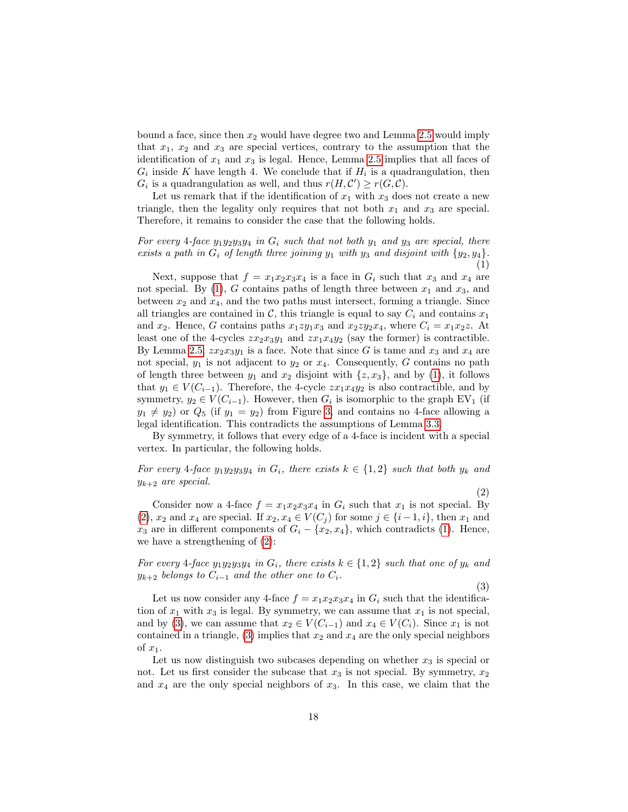bound a face, since then  $x_2$  would have degree two and Lemma [2.5](#page-8-1) would imply that  $x_1$ ,  $x_2$  and  $x_3$  are special vertices, contrary to the assumption that the identification of  $x_1$  and  $x_3$  is legal. Hence, Lemma [2.5](#page-8-1) implies that all faces of  $G_i$  inside K have length 4. We conclude that if  $H_i$  is a quadrangulation, then  $G_i$  is a quadrangulation as well, and thus  $r(H, \mathcal{C}') \ge r(G, \mathcal{C})$ .

Let us remark that if the identification of  $x_1$  with  $x_3$  does not create a new triangle, then the legality only requires that not both  $x_1$  and  $x_3$  are special. Therefore, it remains to consider the case that the following holds.

<span id="page-17-0"></span>For every 4-face  $y_1y_2y_3y_4$  in  $G_i$  such that not both  $y_1$  and  $y_3$  are special, there exists a path in  $G_i$  of length three joining  $y_1$  with  $y_3$  and disjoint with  $\{y_2, y_4\}$ . (1)

Next, suppose that  $f = x_1x_2x_3x_4$  is a face in  $G_i$  such that  $x_3$  and  $x_4$  are not special. By [\(1\)](#page-17-0), G contains paths of length three between  $x_1$  and  $x_3$ , and between  $x_2$  and  $x_4$ , and the two paths must intersect, forming a triangle. Since all triangles are contained in  $\mathcal{C}$ , this triangle is equal to say  $C_i$  and contains  $x_1$ and  $x_2$ . Hence, G contains paths  $x_1zy_1x_3$  and  $x_2zy_2x_4$ , where  $C_i = x_1x_2z$ . At least one of the 4-cycles  $zx_2x_3y_1$  and  $zx_1x_4y_2$  (say the former) is contractible. By Lemma [2.5,](#page-8-1)  $zx_2x_3y_1$  is a face. Note that since G is tame and  $x_3$  and  $x_4$  are not special,  $y_1$  is not adjacent to  $y_2$  or  $x_4$ . Consequently, G contains no path of length three between  $y_1$  and  $x_2$  disjoint with  $\{z, x_3\}$ , and by [\(1\)](#page-17-0), it follows that  $y_1 \in V(C_{i-1})$ . Therefore, the 4-cycle  $z x_1 x_4 y_2$  is also contractible, and by symmetry,  $y_2 \in V(C_{i-1})$ . However, then  $G_i$  is isomorphic to the graph EV<sub>1</sub> (if  $y_1 \neq y_2$ ) or  $Q_5$  (if  $y_1 = y_2$ ) from Figure [3,](#page-15-0) and contains no 4-face allowing a legal identification. This contradicts the assumptions of Lemma [3.3.](#page-16-0)

By symmetry, it follows that every edge of a 4-face is incident with a special vertex. In particular, the following holds.

<span id="page-17-1"></span>For every 4-face  $y_1y_2y_3y_4$  in  $G_i$ , there exists  $k \in \{1,2\}$  such that both  $y_k$  and  $y_{k+2}$  are special.

(2)

Consider now a 4-face  $f = x_1x_2x_3x_4$  in  $G_i$  such that  $x_1$  is not special. By [\(2\)](#page-17-1),  $x_2$  and  $x_4$  are special. If  $x_2, x_4 \in V(C_j)$  for some  $j \in \{i-1, i\}$ , then  $x_1$  and  $x_3$  are in different components of  $G_i - \{x_2, x_4\}$ , which contradicts [\(1\)](#page-17-0). Hence, we have a strengthening of [\(2\)](#page-17-1):

<span id="page-17-2"></span>For every 4-face  $y_1y_2y_3y_4$  in  $G_i$ , there exists  $k \in \{1,2\}$  such that one of  $y_k$  and  $y_{k+2}$  belongs to  $C_{i-1}$  and the other one to  $C_i$ .

(3)

Let us now consider any 4-face  $f = x_1x_2x_3x_4$  in  $G_i$  such that the identification of  $x_1$  with  $x_3$  is legal. By symmetry, we can assume that  $x_1$  is not special, and by [\(3\)](#page-17-2), we can assume that  $x_2 \in V(C_{i-1})$  and  $x_4 \in V(C_i)$ . Since  $x_1$  is not contained in a triangle, [\(3\)](#page-17-2) implies that  $x_2$  and  $x_4$  are the only special neighbors of  $x_1$ .

Let us now distinguish two subcases depending on whether  $x_3$  is special or not. Let us first consider the subcase that  $x_3$  is not special. By symmetry,  $x_2$ and  $x_4$  are the only special neighbors of  $x_3$ . In this case, we claim that the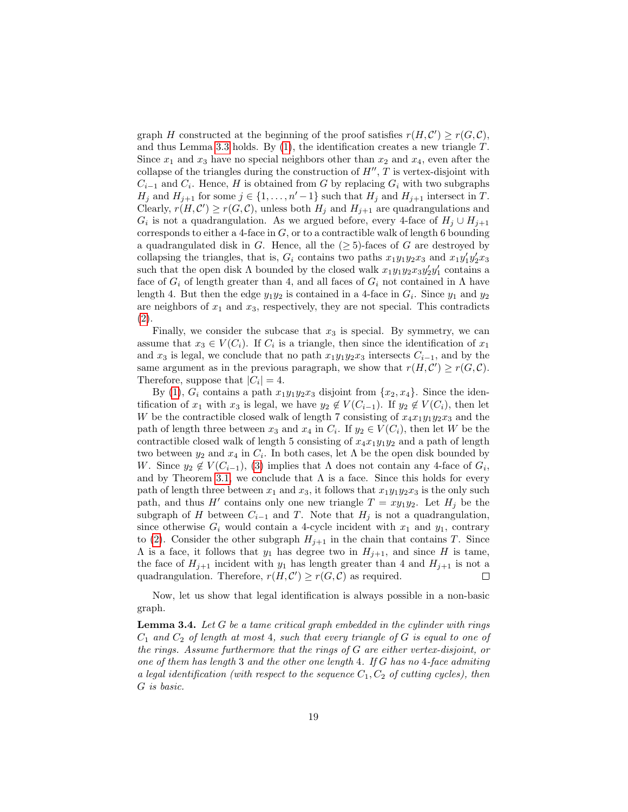graph H constructed at the beginning of the proof satisfies  $r(H, C') \ge r(G, C)$ , and thus Lemma [3.3](#page-16-0) holds. By [\(1\)](#page-17-0), the identification creates a new triangle T. Since  $x_1$  and  $x_3$  have no special neighbors other than  $x_2$  and  $x_4$ , even after the collapse of the triangles during the construction of  $H''$ ,  $T$  is vertex-disjoint with  $C_{i-1}$  and  $C_i$ . Hence, H is obtained from G by replacing  $G_i$  with two subgraphs  $H_j$  and  $H_{j+1}$  for some  $j \in \{1, \ldots, n'-1\}$  such that  $H_j$  and  $H_{j+1}$  intersect in T. Clearly,  $r(H, C') \ge r(G, C)$ , unless both  $H_j$  and  $H_{j+1}$  are quadrangulations and  $G_i$  is not a quadrangulation. As we argued before, every 4-face of  $H_j \cup H_{j+1}$ corresponds to either a 4-face in  $G$ , or to a contractible walk of length 6 bounding a quadrangulated disk in G. Hence, all the  $(≥ 5)$ -faces of G are destroyed by collapsing the triangles, that is,  $G_i$  contains two paths  $x_1y_1y_2x_3$  and  $x_1y'_1y'_2x_3$ such that the open disk  $\Lambda$  bounded by the closed walk  $x_1y_1y_2x_3y_2'y_1'$  contains a face of  $G_i$  of length greater than 4, and all faces of  $G_i$  not contained in  $\Lambda$  have length 4. But then the edge  $y_1y_2$  is contained in a 4-face in  $G_i$ . Since  $y_1$  and  $y_2$ are neighbors of  $x_1$  and  $x_3$ , respectively, they are not special. This contradicts [\(2\)](#page-17-1).

Finally, we consider the subcase that  $x_3$  is special. By symmetry, we can assume that  $x_3 \in V(C_i)$ . If  $C_i$  is a triangle, then since the identification of  $x_1$ and  $x_3$  is legal, we conclude that no path  $x_1y_1y_2x_3$  intersects  $C_{i-1}$ , and by the same argument as in the previous paragraph, we show that  $r(H, C') \ge r(G, C)$ . Therefore, suppose that  $|C_i| = 4$ .

By [\(1\)](#page-17-0),  $G_i$  contains a path  $x_1y_1y_2x_3$  disjoint from  $\{x_2, x_4\}$ . Since the identification of  $x_1$  with  $x_3$  is legal, we have  $y_2 \notin V(C_{i-1})$ . If  $y_2 \notin V(C_i)$ , then let W be the contractible closed walk of length 7 consisting of  $x_4x_1y_1y_2x_3$  and the path of length three between  $x_3$  and  $x_4$  in  $C_i$ . If  $y_2 \in V(C_i)$ , then let W be the contractible closed walk of length 5 consisting of  $x_4x_1y_1y_2$  and a path of length two between  $y_2$  and  $x_4$  in  $C_i$ . In both cases, let  $\Lambda$  be the open disk bounded by W. Since  $y_2 \notin V(C_{i-1}),$  [\(3\)](#page-17-2) implies that  $\Lambda$  does not contain any 4-face of  $G_i$ , and by Theorem [3.1,](#page-14-0) we conclude that  $\Lambda$  is a face. Since this holds for every path of length three between  $x_1$  and  $x_3$ , it follows that  $x_1y_1y_2x_3$  is the only such path, and thus H' contains only one new triangle  $T = xy_1y_2$ . Let  $H_j$  be the subgraph of H between  $C_{i-1}$  and T. Note that  $H_j$  is not a quadrangulation, since otherwise  $G_i$  would contain a 4-cycle incident with  $x_1$  and  $y_1$ , contrary to [\(2\)](#page-17-1). Consider the other subgraph  $H_{j+1}$  in the chain that contains T. Since  $\Lambda$  is a face, it follows that  $y_1$  has degree two in  $H_{j+1}$ , and since H is tame, the face of  $H_{i+1}$  incident with  $y_1$  has length greater than 4 and  $H_{i+1}$  is not a quadrangulation. Therefore,  $r(H, C') \ge r(G, C)$  as required.  $\Box$ 

Now, let us show that legal identification is always possible in a non-basic graph.

<span id="page-18-0"></span>**Lemma 3.4.** Let  $G$  be a tame critical graph embedded in the cylinder with rings  $C_1$  and  $C_2$  of length at most 4, such that every triangle of G is equal to one of the rings. Assume furthermore that the rings of G are either vertex-disjoint, or one of them has length 3 and the other one length 4. If G has no 4-face admiting a legal identification (with respect to the sequence  $C_1, C_2$  of cutting cycles), then G is basic.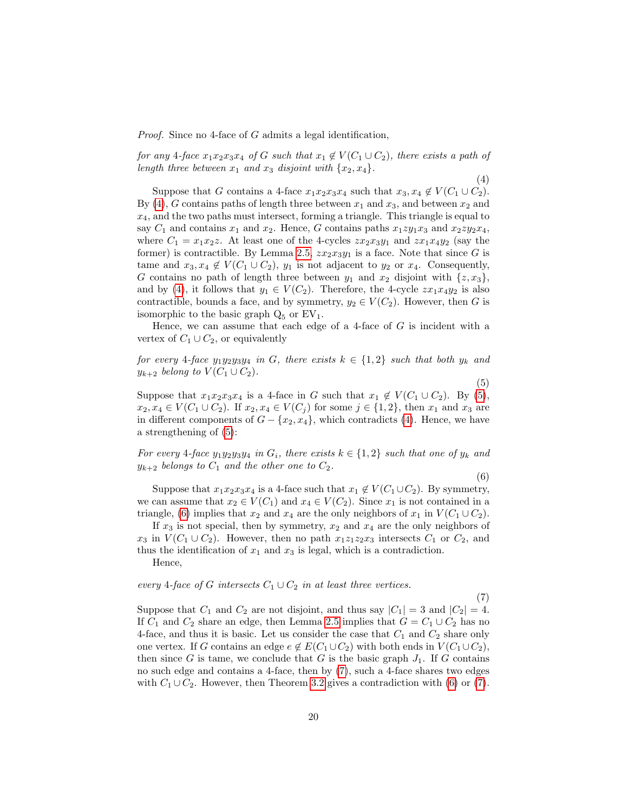Proof. Since no 4-face of G admits a legal identification,

<span id="page-19-0"></span>for any 4-face  $x_1x_2x_3x_4$  of G such that  $x_1 \notin V(C_1 \cup C_2)$ , there exists a path of length three between  $x_1$  and  $x_3$  disjoint with  $\{x_2, x_4\}.$ (4)

Suppose that G contains a 4-face  $x_1x_2x_3x_4$  such that  $x_3, x_4 \notin V(C_1 \cup C_2)$ . By [\(4\)](#page-19-0), G contains paths of length three between  $x_1$  and  $x_3$ , and between  $x_2$  and  $x_4$ , and the two paths must intersect, forming a triangle. This triangle is equal to say  $C_1$  and contains  $x_1$  and  $x_2$ . Hence, G contains paths  $x_1zy_1x_3$  and  $x_2zy_2x_4$ , where  $C_1 = x_1x_2z$ . At least one of the 4-cycles  $zx_2x_3y_1$  and  $zx_1x_4y_2$  (say the former) is contractible. By Lemma [2.5,](#page-8-1)  $zx_2x_3y_1$  is a face. Note that since G is tame and  $x_3, x_4 \notin V(C_1 \cup C_2)$ ,  $y_1$  is not adjacent to  $y_2$  or  $x_4$ . Consequently, G contains no path of length three between  $y_1$  and  $x_2$  disjoint with  $\{z, x_3\}$ , and by [\(4\)](#page-19-0), it follows that  $y_1 \in V(C_2)$ . Therefore, the 4-cycle  $z x_1 x_4 y_2$  is also contractible, bounds a face, and by symmetry,  $y_2 \in V(C_2)$ . However, then G is isomorphic to the basic graph  $Q_5$  or  $EV_1$ .

Hence, we can assume that each edge of a 4-face of  $G$  is incident with a vertex of  $C_1 \cup C_2$ , or equivalently

<span id="page-19-1"></span>for every 4-face  $y_1y_2y_3y_4$  in G, there exists  $k \in \{1,2\}$  such that both  $y_k$  and  $y_{k+2}$  belong to  $V(C_1 \cup C_2)$ .

Suppose that  $x_1x_2x_3x_4$  is a 4-face in G such that  $x_1 \notin V(C_1 \cup C_2)$ . By [\(5\)](#page-19-1),  $x_2, x_4 \in V(C_1 \cup C_2)$ . If  $x_2, x_4 \in V(C_i)$  for some  $j \in \{1, 2\}$ , then  $x_1$  and  $x_3$  are in different components of  $G - \{x_2, x_4\}$ , which contradicts [\(4\)](#page-19-0). Hence, we have a strengthening of [\(5\)](#page-19-1):

<span id="page-19-2"></span>For every 4-face  $y_1y_2y_3y_4$  in  $G_i$ , there exists  $k \in \{1,2\}$  such that one of  $y_k$  and  $y_{k+2}$  belongs to  $C_1$  and the other one to  $C_2$ .

(6)

(5)

Suppose that  $x_1x_2x_3x_4$  is a 4-face such that  $x_1 \notin V(C_1 \cup C_2)$ . By symmetry, we can assume that  $x_2 \in V(C_1)$  and  $x_4 \in V(C_2)$ . Since  $x_1$  is not contained in a triangle, [\(6\)](#page-19-2) implies that  $x_2$  and  $x_4$  are the only neighbors of  $x_1$  in  $V(C_1 \cup C_2)$ .

If  $x_3$  is not special, then by symmetry,  $x_2$  and  $x_4$  are the only neighbors of  $x_3$  in  $V(C_1 \cup C_2)$ . However, then no path  $x_1z_1z_2x_3$  intersects  $C_1$  or  $C_2$ , and thus the identification of  $x_1$  and  $x_3$  is legal, which is a contradiction.

Hence,

<span id="page-19-3"></span>every 4-face of G intersects  $C_1 \cup C_2$  in at least three vertices.

(7) Suppose that  $C_1$  and  $C_2$  are not disjoint, and thus say  $|C_1| = 3$  and  $|C_2| = 4$ . If  $C_1$  and  $C_2$  share an edge, then Lemma [2.5](#page-8-1) implies that  $G = C_1 \cup C_2$  has no 4-face, and thus it is basic. Let us consider the case that  $C_1$  and  $C_2$  share only one vertex. If G contains an edge  $e \notin E(C_1 \cup C_2)$  with both ends in  $V(C_1 \cup C_2)$ , then since G is tame, we conclude that G is the basic graph  $J_1$ . If G contains no such edge and contains a 4-face, then by [\(7\)](#page-19-3), such a 4-face shares two edges with  $C_1 \cup C_2$ . However, then Theorem [3.2](#page-14-1) gives a contradiction with [\(6\)](#page-19-2) or [\(7\)](#page-19-3).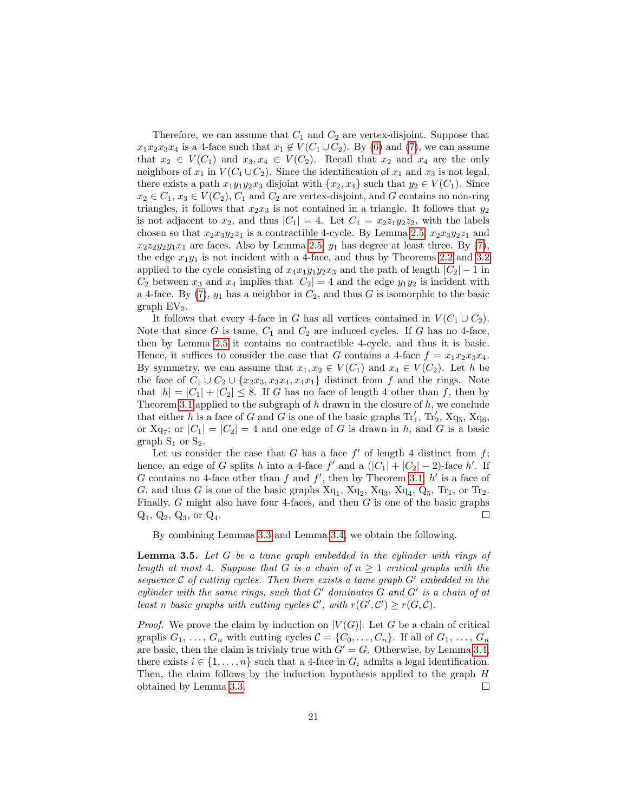Therefore, we can assume that  $C_1$  and  $C_2$  are vertex-disjoint. Suppose that  $x_1x_2x_3x_4$  is a 4-face such that  $x_1 \notin V(C_1 \cup C_2)$ . By [\(6\)](#page-19-2) and [\(7\)](#page-19-3), we can assume that  $x_2 \in V(C_1)$  and  $x_3, x_4 \in V(C_2)$ . Recall that  $x_2$  and  $x_4$  are the only neighbors of  $x_1$  in  $V(C_1 \cup C_2)$ . Since the identification of  $x_1$  and  $x_3$  is not legal, there exists a path  $x_1y_1y_2x_3$  disjoint with  $\{x_2, x_4\}$  such that  $y_2 \in V(C_1)$ . Since  $x_2 \in C_1$ ,  $x_3 \in V(C_2)$ ,  $C_1$  and  $C_2$  are vertex-disjoint, and G contains no non-ring triangles, it follows that  $x_2x_3$  is not contained in a triangle. It follows that  $y_2$ is not adjacent to  $x_2$ , and thus  $|C_1| = 4$ . Let  $C_1 = x_2z_1y_2z_2$ , with the labels chosen so that  $x_2x_3y_2z_1$  is a contractible 4-cycle. By Lemma [2.5,](#page-8-1)  $x_2x_3y_2z_1$  and  $x_2z_2y_2y_1x_1$  are faces. Also by Lemma [2.5,](#page-8-1)  $y_1$  has degree at least three. By [\(7\)](#page-19-3), the edge  $x_1y_1$  is not incident with a 4-face, and thus by Theorems [2.2](#page-6-1) and [3.2](#page-14-1) applied to the cycle consisting of  $x_4x_1y_1y_2x_3$  and the path of length  $|C_2| - 1$  in  $C_2$  between  $x_3$  and  $x_4$  implies that  $|C_2| = 4$  and the edge  $y_1y_2$  is incident with a 4-face. By [\(7\)](#page-19-3),  $y_1$  has a neighbor in  $C_2$ , and thus G is isomorphic to the basic  $graph EV<sub>2</sub>$ .

It follows that every 4-face in G has all vertices contained in  $V(C_1 \cup C_2)$ . Note that since G is tame,  $C_1$  and  $C_2$  are induced cycles. If G has no 4-face, then by Lemma [2.5](#page-8-1) it contains no contractible 4-cycle, and thus it is basic. Hence, it suffices to consider the case that G contains a 4-face  $f = x_1x_2x_3x_4$ . By symmetry, we can assume that  $x_1, x_2 \in V(C_1)$  and  $x_4 \in V(C_2)$ . Let h be the face of  $C_1 \cup C_2 \cup \{x_2x_3, x_3x_4, x_4x_1\}$  distinct from f and the rings. Note that  $|h| = |C_1| + |C_2| \leq 8$ . If G has no face of length 4 other than f, then by Theorem [3.1](#page-14-0) applied to the subgraph of  $h$  drawn in the closure of  $h$ , we conclude that either h is a face of G and G is one of the basic graphs  $\text{Tr}'_1$ ,  $\text{Tr}'_2$ ,  $\text{Xq}_5$ ,  $\text{Xq}_6$ , or  $Xq_7$ ; or  $|C_1| = |C_2| = 4$  and one edge of G is drawn in h, and G is a basic graph  $S_1$  or  $S_2$ .

Let us consider the case that G has a face  $f'$  of length 4 distinct from  $f$ ; hence, an edge of G splits h into a 4-face  $f'$  and a  $(|C_1| + |C_2| - 2)$ -face h'. If G contains no 4-face other than f and f', then by Theorem [3.1,](#page-14-0) h' is a face of G, and thus G is one of the basic graphs  $Xq_1$ ,  $Xq_2$ ,  $Xq_3$ ,  $Xq_4$ ,  $Q_5$ ,  $Tr_1$ , or  $Tr_2$ . Finally,  $G$  might also have four 4-faces, and then  $G$  is one of the basic graphs  $Q_1, Q_2, Q_3, \text{ or } Q_4.$  $\Box$ 

By combining Lemmas [3.3](#page-16-0) and Lemma [3.4,](#page-18-0) we obtain the following.

<span id="page-20-0"></span>**Lemma 3.5.** Let  $G$  be a tame graph embedded in the cylinder with rings of length at most 4. Suppose that G is a chain of  $n \geq 1$  critical graphs with the sequence  $C$  of cutting cycles. Then there exists a tame graph  $G'$  embedded in the cylinder with the same rings, such that  $G'$  dominates  $G$  and  $G'$  is a chain of at least n basic graphs with cutting cycles  $\mathcal{C}'$ , with  $r(G', \mathcal{C}') \ge r(G, \mathcal{C})$ .

*Proof.* We prove the claim by induction on  $|V(G)|$ . Let G be a chain of critical graphs  $G_1, \ldots, G_n$  with cutting cycles  $\mathcal{C} = \{C_0, \ldots, C_n\}$ . If all of  $G_1, \ldots, G_n$ are basic, then the claim is trivialy true with  $G' = G$ . Otherwise, by Lemma [3.4,](#page-18-0) there exists  $i \in \{1, \ldots, n\}$  such that a 4-face in  $G_i$  admits a legal identification. Then, the claim follows by the induction hypothesis applied to the graph  $H$ obtained by Lemma [3.3.](#page-16-0)  $\Box$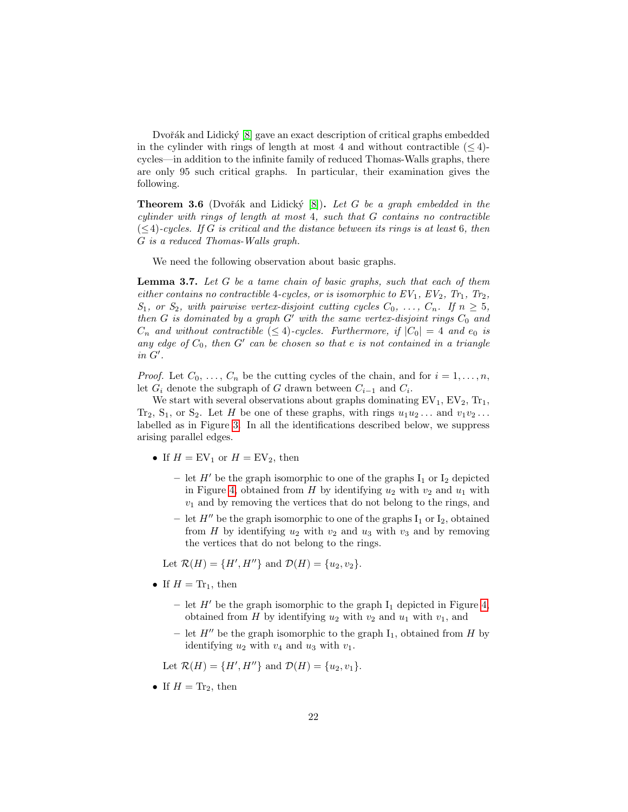Dvořák and Lidický  $[8]$  gave an exact description of critical graphs embedded in the cylinder with rings of length at most 4 and without contractible  $(\leq 4)$ cycles—in addition to the infinite family of reduced Thomas-Walls graphs, there are only 95 such critical graphs. In particular, their examination gives the following.

<span id="page-21-1"></span>**Theorem 3.6** (Dvořák and Lidický [\[8\]](#page-36-12)). Let G be a graph embedded in the cylinder with rings of length at most 4, such that G contains no contractible  $(\leq 4)$ -cycles. If G is critical and the distance between its rings is at least 6, then G is a reduced Thomas-Walls graph.

We need the following observation about basic graphs.

<span id="page-21-0"></span>Lemma 3.7. Let G be a tame chain of basic graphs, such that each of them either contains no contractible 4-cycles, or is isomorphic to  $EV_1$ ,  $EV_2$ ,  $Tr_1$ ,  $Tr_2$ ,  $S_1$ , or  $S_2$ , with pairwise vertex-disjoint cutting cycles  $C_0$ , ...,  $C_n$ . If  $n \geq 5$ , then  $G$  is dominated by a graph  $G'$  with the same vertex-disjoint rings  $C_0$  and  $C_n$  and without contractible  $(\leq 4)$ -cycles. Furthermore, if  $|C_0| = 4$  and  $e_0$  is any edge of  $C_0$ , then  $G'$  can be chosen so that e is not contained in a triangle  $in G'.$ 

*Proof.* Let  $C_0, \ldots, C_n$  be the cutting cycles of the chain, and for  $i = 1, \ldots, n$ , let  $G_i$  denote the subgraph of G drawn between  $C_{i-1}$  and  $C_i$ .

We start with several observations about graphs dominating  $EV_1, EV_2, Tr_1$ ,  $\text{Tr}_2$ ,  $\text{S}_1$ , or  $\text{S}_2$ . Let H be one of these graphs, with rings  $u_1u_2 \ldots$  and  $v_1v_2 \ldots$ labelled as in Figure [3.](#page-15-0) In all the identifications described below, we suppress arising parallel edges.

- If  $H = EV_1$  or  $H = EV_2$ , then
	- let H<sup> $\prime$ </sup> be the graph isomorphic to one of the graphs I<sub>1</sub> or I<sub>2</sub> depicted in Figure [4,](#page-22-0) obtained from H by identifying  $u_2$  with  $v_2$  and  $u_1$  with  $v_1$  and by removing the vertices that do not belong to the rings, and
	- let  $H''$  be the graph isomorphic to one of the graphs  $I_1$  or  $I_2$ , obtained from H by identifying  $u_2$  with  $v_2$  and  $u_3$  with  $v_3$  and by removing the vertices that do not belong to the rings.

Let  $\mathcal{R}(H) = \{H', H''\}$  and  $\mathcal{D}(H) = \{u_2, v_2\}.$ 

- If  $H = \text{Tr}_1$ , then
	- let  $H'$  be the graph isomorphic to the graph  $I_1$  depicted in Figure [4,](#page-22-0) obtained from H by identifying  $u_2$  with  $v_2$  and  $u_1$  with  $v_1$ , and
	- let  $H''$  be the graph isomorphic to the graph  $I_1$ , obtained from H by identifying  $u_2$  with  $v_4$  and  $u_3$  with  $v_1$ .

Let 
$$
\mathcal{R}(H) = \{H', H''\}
$$
 and  $\mathcal{D}(H) = \{u_2, v_1\}.$ 

• If  $H = \text{Tr}_2$ , then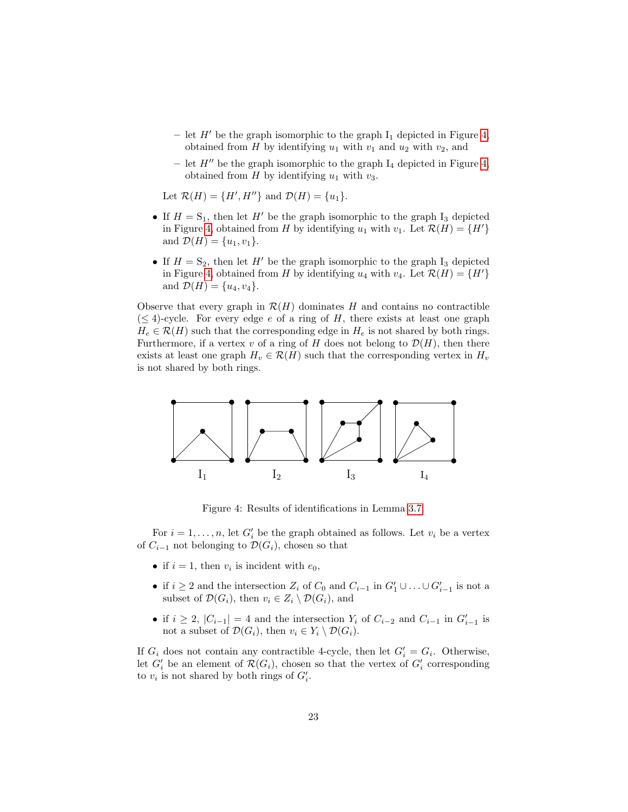- let H<sup> $\prime$ </sup> be the graph isomorphic to the graph I<sub>1</sub> depicted in Figure [4,](#page-22-0) obtained from H by identifying  $u_1$  with  $v_1$  and  $u_2$  with  $v_2$ , and
- let  $H''$  be the graph isomorphic to the graph  $I_4$  depicted in Figure [4,](#page-22-0) obtained from H by identifying  $u_1$  with  $v_3$ .

Let  $\mathcal{R}(H) = \{H', H''\}$  and  $\mathcal{D}(H) = \{u_1\}.$ 

- If  $H = S_1$ , then let H' be the graph isomorphic to the graph I<sub>3</sub> depicted in Figure [4,](#page-22-0) obtained from H by identifying  $u_1$  with  $v_1$ . Let  $\mathcal{R}(H) = \{H'\}$ and  $\mathcal{D}(H) = \{u_1, v_1\}.$
- If  $H = S_2$ , then let H' be the graph isomorphic to the graph I<sub>3</sub> depicted in Figure [4,](#page-22-0) obtained from H by identifying  $u_4$  with  $v_4$ . Let  $\mathcal{R}(H) = \{H'\}$ and  $\mathcal{D}(H) = \{u_4, v_4\}.$

Observe that every graph in  $\mathcal{R}(H)$  dominates H and contains no contractible  $(\leq 4)$ -cycle. For every edge e of a ring of H, there exists at least one graph  $H_e \in \mathcal{R}(H)$  such that the corresponding edge in  $H_e$  is not shared by both rings. Furthermore, if a vertex v of a ring of H does not belong to  $\mathcal{D}(H)$ , then there exists at least one graph  $H_v \in \mathcal{R}(H)$  such that the corresponding vertex in  $H_v$ is not shared by both rings.



<span id="page-22-0"></span>Figure 4: Results of identifications in Lemma [3.7.](#page-21-0)

For  $i = 1, \ldots, n$ , let  $G_i'$  be the graph obtained as follows. Let  $v_i$  be a vertex of  $C_{i-1}$  not belonging to  $\mathcal{D}(G_i)$ , chosen so that

- if  $i = 1$ , then  $v_i$  is incident with  $e_0$ ,
- if  $i \geq 2$  and the intersection  $Z_i$  of  $C_0$  and  $C_{i-1}$  in  $G'_1 \cup \ldots \cup G'_{i-1}$  is not a subset of  $\mathcal{D}(G_i)$ , then  $v_i \in Z_i \setminus \mathcal{D}(G_i)$ , and
- if  $i \geq 2$ ,  $|C_{i-1}| = 4$  and the intersection  $Y_i$  of  $C_{i-2}$  and  $C_{i-1}$  in  $G'_{i-1}$  is not a subset of  $\mathcal{D}(G_i)$ , then  $v_i \in Y_i \setminus \mathcal{D}(G_i)$ .

If  $G_i$  does not contain any contractible 4-cycle, then let  $G'_i = G_i$ . Otherwise, let  $G_i'$  be an element of  $\mathcal{R}(G_i)$ , chosen so that the vertex of  $G_i'$  corresponding to  $v_i$  is not shared by both rings of  $G_i'$ .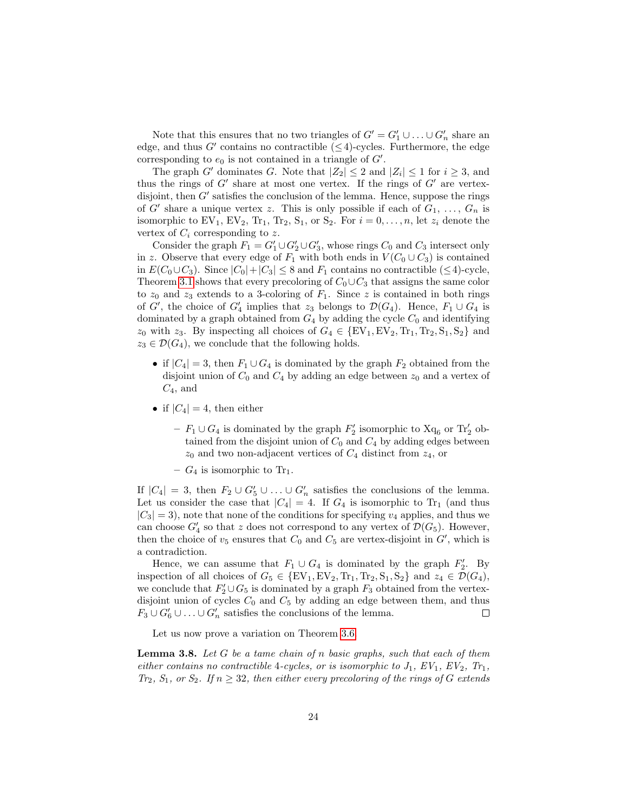Note that this ensures that no two triangles of  $G' = G'_1 \cup ... \cup G'_n$  share an edge, and thus G' contains no contractible  $(\leq 4)$ -cycles. Furthermore, the edge corresponding to  $e_0$  is not contained in a triangle of  $G'$ .

The graph G' dominates G. Note that  $|Z_2| \leq 2$  and  $|Z_i| \leq 1$  for  $i \geq 3$ , and thus the rings of  $G'$  share at most one vertex. If the rings of  $G'$  are vertexdisjoint, then  $G'$  satisfies the conclusion of the lemma. Hence, suppose the rings of G' share a unique vertex z. This is only possible if each of  $G_1, \ldots, G_n$  is isomorphic to  $EV_1$ ,  $EV_2$ ,  $Tr_1$ ,  $Tr_2$ ,  $S_1$ , or  $S_2$ . For  $i = 0, ..., n$ , let  $z_i$  denote the vertex of  $C_i$  corresponding to z.

Consider the graph  $F_1 = G'_1 \cup G'_2 \cup G'_3$ , whose rings  $C_0$  and  $C_3$  intersect only in z. Observe that every edge of  $F_1$  with both ends in  $V(C_0 \cup C_3)$  is contained in  $E(C_0\cup C_3)$ . Since  $|C_0|+|C_3|\leq 8$  and  $F_1$  contains no contractible ( $\leq 4$ )-cycle, Theorem [3.1](#page-14-0) shows that every precoloring of  $C_0\cup C_3$  that assigns the same color to  $z_0$  and  $z_3$  extends to a 3-coloring of  $F_1$ . Since z is contained in both rings of G', the choice of  $G'_4$  implies that  $z_3$  belongs to  $\mathcal{D}(G_4)$ . Hence,  $F_1 \cup G_4$  is dominated by a graph obtained from  $G_4$  by adding the cycle  $C_0$  and identifying  $z_0$  with  $z_3$ . By inspecting all choices of  $G_4 \in \{EV_1, EV_2, Tr_1, Tr_2, S_1, S_2\}$  and  $z_3 \in \mathcal{D}(G_4)$ , we conclude that the following holds.

- if  $|C_4| = 3$ , then  $F_1 \cup G_4$  is dominated by the graph  $F_2$  obtained from the disjoint union of  $C_0$  and  $C_4$  by adding an edge between  $z_0$  and a vertex of  $C_4$ , and
- if  $|C_4| = 4$ , then either
	- $F_1 \cup G_4$  is dominated by the graph  $F_2'$  isomorphic to Xq<sub>6</sub> or Tr<sub>2</sub><sup>ob-</sup> tained from the disjoint union of  $C_0$  and  $C_4$  by adding edges between  $z_0$  and two non-adjacent vertices of  $C_4$  distinct from  $z_4$ , or
	- $G_4$  is isomorphic to Tr<sub>1</sub>.

If  $|C_4| = 3$ , then  $F_2 \cup G_5' \cup \ldots \cup G_n'$  satisfies the conclusions of the lemma. Let us consider the case that  $|C_4| = 4$ . If  $G_4$  is isomorphic to Tr<sub>1</sub> (and thus  $|C_3| = 3$ , note that none of the conditions for specifying  $v_4$  applies, and thus we can choose  $G'_4$  so that z does not correspond to any vertex of  $\mathcal{D}(G_5)$ . However, then the choice of  $v_5$  ensures that  $C_0$  and  $C_5$  are vertex-disjoint in  $G'$ , which is a contradiction.

Hence, we can assume that  $F_1 \cup G_4$  is dominated by the graph  $F_2'$ . By inspection of all choices of  $G_5 \in \{EV_1, EV_2, Tr_1, Tr_2, S_1, S_2\}$  and  $z_4 \in \mathcal{D}(G_4)$ , we conclude that  $F_2' \cup G_5$  is dominated by a graph  $F_3$  obtained from the vertexdisjoint union of cycles  $C_0$  and  $C_5$  by adding an edge between them, and thus  $F_3 \cup G'_6 \cup \ldots \cup G'_n$  satisfies the conclusions of the lemma.  $\Box$ 

Let us now prove a variation on Theorem [3.6.](#page-21-1)

<span id="page-23-0"></span>**Lemma 3.8.** Let G be a tame chain of n basic graphs, such that each of them either contains no contractible 4-cycles, or is isomorphic to  $J_1$ ,  $EV_1$ ,  $EV_2$ ,  $Tr_1$ ,  $Tr_2$ ,  $S_1$ , or  $S_2$ . If  $n \geq 32$ , then either every precoloring of the rings of G extends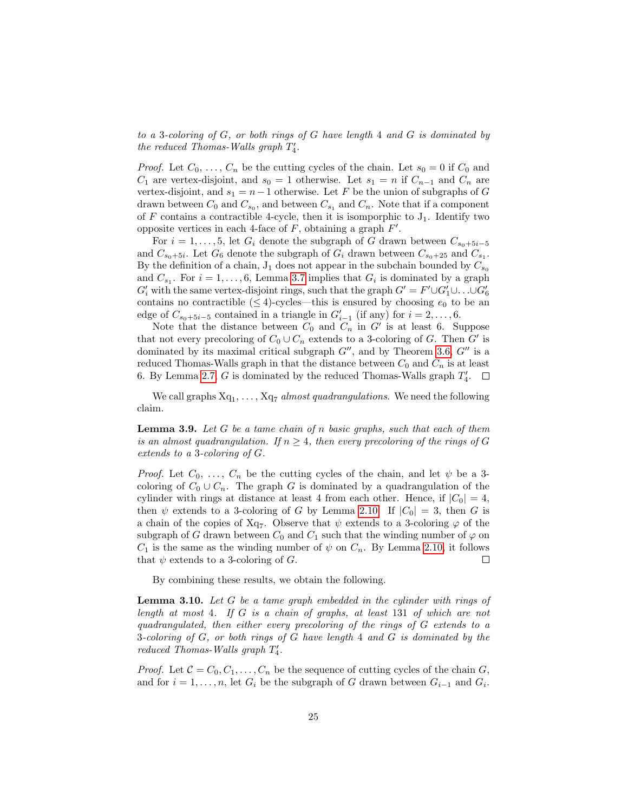to a 3-coloring of G, or both rings of G have length 4 and G is dominated by the reduced Thomas-Walls graph  $T_4'$ .

*Proof.* Let  $C_0, \ldots, C_n$  be the cutting cycles of the chain. Let  $s_0 = 0$  if  $C_0$  and  $C_1$  are vertex-disjoint, and  $s_0 = 1$  otherwise. Let  $s_1 = n$  if  $C_{n-1}$  and  $C_n$  are vertex-disjoint, and  $s_1 = n-1$  otherwise. Let F be the union of subgraphs of G drawn between  $C_0$  and  $C_{s_0}$ , and between  $C_{s_1}$  and  $C_n$ . Note that if a component of  $F$  contains a contractible 4-cycle, then it is isomporphic to  $J_1$ . Identify two opposite vertices in each 4-face of  $F$ , obtaining a graph  $F'$ .

For  $i = 1, \ldots, 5$ , let  $G_i$  denote the subgraph of G drawn between  $C_{s_0+5i-5}$ and  $C_{s_0+5i}$ . Let  $G_6$  denote the subgraph of  $G_i$  drawn between  $C_{s_0+25}$  and  $C_{s_1}$ . By the definition of a chain,  $J_1$  does not appear in the subchain bounded by  $C_{s_0}$ and  $C_{s_1}$ . For  $i = 1, ..., 6$ , Lemma [3.7](#page-21-0) implies that  $G_i$  is dominated by a graph  $G'_{i}$  with the same vertex-disjoint rings, such that the graph  $G' = F' \cup G'_{1} \cup \ldots \cup G'_{6}$ contains no contractible ( $\leq 4$ )-cycles—this is ensured by choosing  $e_0$  to be an edge of  $C_{s_0+5i-5}$  contained in a triangle in  $G'_{i-1}$  (if any) for  $i = 2, \ldots, 6$ .

Note that the distance between  $C_0$  and  $C_n$  in  $G'$  is at least 6. Suppose that not every precoloring of  $C_0 \cup C_n$  extends to a 3-coloring of G. Then G' is dominated by its maximal critical subgraph  $G''$ , and by Theorem [3.6,](#page-21-1)  $G''$  is a reduced Thomas-Walls graph in that the distance between  $C_0$  and  $C_n$  is at least 6. By Lemma [2.7,](#page-9-0) G is dominated by the reduced Thomas-Walls graph  $T_4'$ .

We call graphs  $Xq_1, \ldots, Xq_7$  almost quadrangulations. We need the following claim.

<span id="page-24-0"></span>**Lemma 3.9.** Let G be a tame chain of n basic graphs, such that each of them is an almost quadrangulation. If  $n \geq 4$ , then every precoloring of the rings of G extends to a 3-coloring of G.

*Proof.* Let  $C_0, \ldots, C_n$  be the cutting cycles of the chain, and let  $\psi$  be a 3coloring of  $C_0 \cup C_n$ . The graph G is dominated by a quadrangulation of the cylinder with rings at distance at least 4 from each other. Hence, if  $|C_0| = 4$ , then  $\psi$  extends to a 3-coloring of G by Lemma [2.10.](#page-11-1) If  $|C_0| = 3$ , then G is a chain of the copies of  $Xq_7$ . Observe that  $\psi$  extends to a 3-coloring  $\varphi$  of the subgraph of G drawn between  $C_0$  and  $C_1$  such that the winding number of  $\varphi$  on  $C_1$  is the same as the winding number of  $\psi$  on  $C_n$ . By Lemma [2.10,](#page-11-1) it follows that  $\psi$  extends to a 3-coloring of G.  $\Box$ 

By combining these results, we obtain the following.

<span id="page-24-1"></span>Lemma 3.10. Let G be a tame graph embedded in the cylinder with rings of length at most 4. If G is a chain of graphs, at least 131 of which are not quadrangulated, then either every precoloring of the rings of G extends to a 3-coloring of  $G$ , or both rings of  $G$  have length 4 and  $G$  is dominated by the reduced Thomas-Walls graph  $T_4'$ .

*Proof.* Let  $C = C_0, C_1, \ldots, C_n$  be the sequence of cutting cycles of the chain G, and for  $i = 1, \ldots, n$ , let  $G_i$  be the subgraph of G drawn between  $G_{i-1}$  and  $G_i$ .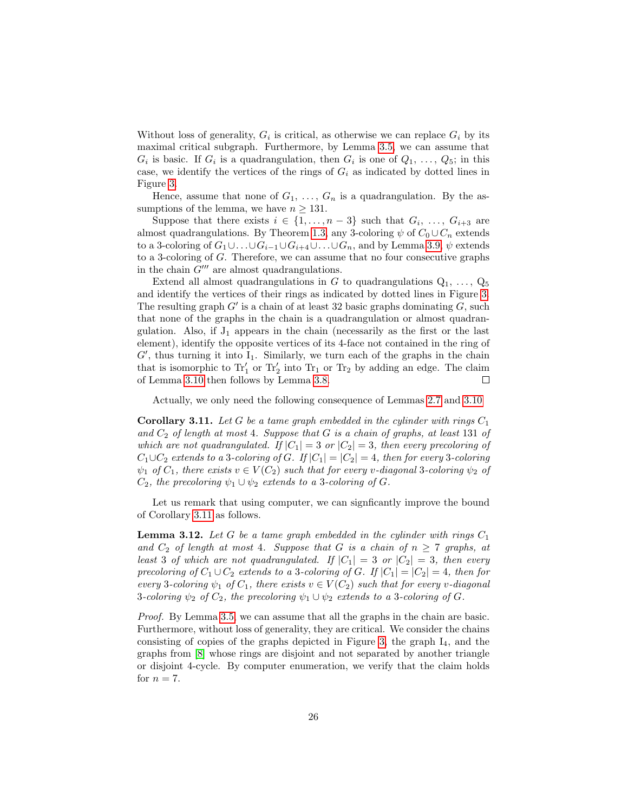Without loss of generality,  $G_i$  is critical, as otherwise we can replace  $G_i$  by its maximal critical subgraph. Furthermore, by Lemma [3.5,](#page-20-0) we can assume that  $G_i$  is basic. If  $G_i$  is a quadrangulation, then  $G_i$  is one of  $Q_1, \ldots, Q_5$ ; in this case, we identify the vertices of the rings of  $G_i$  as indicated by dotted lines in Figure [3.](#page-15-0)

Hence, assume that none of  $G_1, \ldots, G_n$  is a quadrangulation. By the assumptions of the lemma, we have  $n \geq 131$ .

Suppose that there exists  $i \in \{1, ..., n-3\}$  such that  $G_i, ..., G_{i+3}$  are almost quadrangulations. By Theorem [1.3,](#page-4-1) any 3-coloring  $\psi$  of  $C_0 \cup C_n$  extends to a 3-coloring of  $G_1 \cup \ldots \cup G_{i-1} \cup G_{i+4} \cup \ldots \cup G_n$ , and by Lemma [3.9,](#page-24-0)  $\psi$  extends to a 3-coloring of G. Therefore, we can assume that no four consecutive graphs in the chain  $G^{\prime\prime\prime}$  are almost quadrangulations.

Extend all almost quadrangulations in G to quadrangulations  $Q_1, \ldots, Q_5$ and identify the vertices of their rings as indicated by dotted lines in Figure [3.](#page-15-0) The resulting graph  $G'$  is a chain of at least 32 basic graphs dominating  $G$ , such that none of the graphs in the chain is a quadrangulation or almost quadrangulation. Also, if  $J_1$  appears in the chain (necessarily as the first or the last element), identify the opposite vertices of its 4-face not contained in the ring of  $G'$ , thus turning it into  $I_1$ . Similarly, we turn each of the graphs in the chain that is isomorphic to  $\text{Tr}'_1$  or  $\text{Tr}'_2$  into  $\text{Tr}_1$  or  $\text{Tr}_2$  by adding an edge. The claim of Lemma [3.10](#page-24-1) then follows by Lemma [3.8.](#page-23-0)  $\mathbb{R}^n$ 

Actually, we only need the following consequence of Lemmas [2.7](#page-9-0) and [3.10](#page-24-1)

<span id="page-25-0"></span>**Corollary 3.11.** Let G be a tame graph embedded in the cylinder with rings  $C_1$ and  $C_2$  of length at most 4. Suppose that  $G$  is a chain of graphs, at least 131 of which are not quadrangulated. If  $|C_1| = 3$  or  $|C_2| = 3$ , then every precoloring of  $C_1 \cup C_2$  extends to a 3-coloring of G. If  $|C_1| = |C_2| = 4$ , then for every 3-coloring  $\psi_1$  of  $C_1$ , there exists  $v \in V(C_2)$  such that for every v-diagonal 3-coloring  $\psi_2$  of  $C_2$ , the precoloring  $\psi_1 \cup \psi_2$  extends to a 3-coloring of G.

Let us remark that using computer, we can signficantly improve the bound of Corollary [3.11](#page-25-0) as follows.

<span id="page-25-1"></span>**Lemma 3.12.** Let G be a tame graph embedded in the cylinder with rings  $C_1$ and  $C_2$  of length at most 4. Suppose that G is a chain of  $n \geq 7$  graphs, at least 3 of which are not quadrangulated. If  $|C_1| = 3$  or  $|C_2| = 3$ , then every precoloring of  $C_1 \cup C_2$  extends to a 3-coloring of G. If  $|C_1| = |C_2| = 4$ , then for every 3-coloring  $\psi_1$  of  $C_1$ , there exists  $v \in V(C_2)$  such that for every v-diagonal 3-coloring  $\psi_2$  of  $C_2$ , the precoloring  $\psi_1 \cup \psi_2$  extends to a 3-coloring of G.

Proof. By Lemma [3.5,](#page-20-0) we can assume that all the graphs in the chain are basic. Furthermore, without loss of generality, they are critical. We consider the chains consisting of copies of the graphs depicted in Figure [3,](#page-15-0) the graph  $I_4$ , and the graphs from [\[8\]](#page-36-12) whose rings are disjoint and not separated by another triangle or disjoint 4-cycle. By computer enumeration, we verify that the claim holds for  $n = 7$ .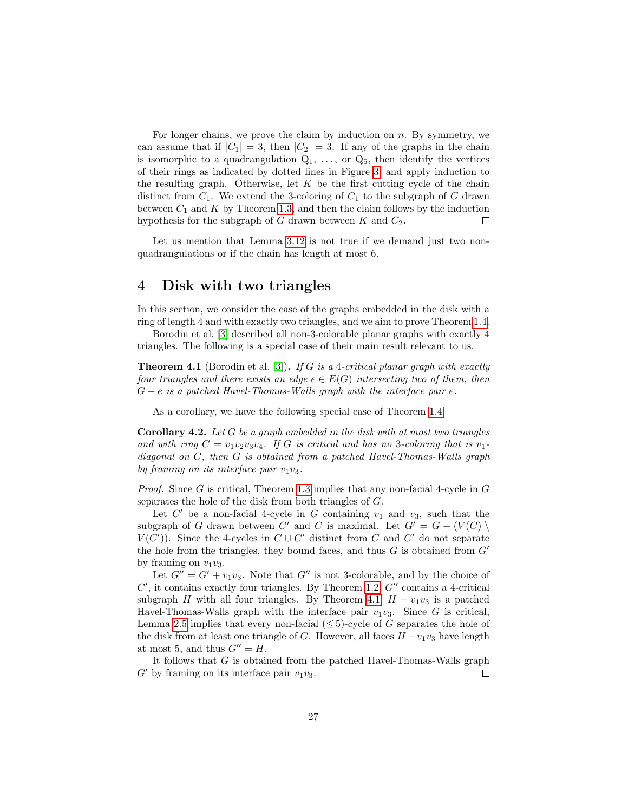For longer chains, we prove the claim by induction on  $n$ . By symmetry, we can assume that if  $|C_1| = 3$ , then  $|C_2| = 3$ . If any of the graphs in the chain is isomorphic to a quadrangulation  $Q_1, \ldots,$  or  $Q_5$ , then identify the vertices of their rings as indicated by dotted lines in Figure [3,](#page-15-0) and apply induction to the resulting graph. Otherwise, let  $K$  be the first cutting cycle of the chain distinct from  $C_1$ . We extend the 3-coloring of  $C_1$  to the subgraph of G drawn between  $C_1$  and  $K$  by Theorem [1.3,](#page-4-1) and then the claim follows by the induction hypothesis for the subgraph of  $G$  drawn between  $K$  and  $C_2$ .  $\Box$ 

Let us mention that Lemma [3.12](#page-25-1) is not true if we demand just two nonquadrangulations or if the chain has length at most 6.

# <span id="page-26-0"></span>4 Disk with two triangles

In this section, we consider the case of the graphs embedded in the disk with a ring of length 4 and with exactly two triangles, and we aim to prove Theorem [1.4.](#page-5-0)

Borodin et al. [\[3\]](#page-36-6) described all non-3-colorable planar graphs with exactly 4 triangles. The following is a special case of their main result relevant to us.

<span id="page-26-1"></span>**Theorem 4.1** (Borodin et al. [\[3\]](#page-36-6)). If G is a 4-critical planar graph with exactly four triangles and there exists an edge  $e \in E(G)$  intersecting two of them, then  $G - e$  is a patched Havel-Thomas-Walls graph with the interface pair e.

As a corollary, we have the following special case of Theorem [1.4.](#page-5-0)

<span id="page-26-2"></span>**Corollary 4.2.** Let G be a graph embedded in the disk with at most two triangles and with ring  $C = v_1v_2v_3v_4$ . If G is critical and has no 3-coloring that is  $v_1$ . diagonal on C, then G is obtained from a patched Havel-Thomas-Walls graph by framing on its interface pair  $v_1v_3$ .

*Proof.* Since G is critical, Theorem [1.3](#page-4-1) implies that any non-facial 4-cycle in  $G$ separates the hole of the disk from both triangles of G.

Let  $C'$  be a non-facial 4-cycle in G containing  $v_1$  and  $v_3$ , such that the subgraph of G drawn between C' and C is maximal. Let  $G' = G - (V(C))$  $V(C')$ ). Since the 4-cycles in  $C \cup C'$  distinct from C and C' do not separate the hole from the triangles, they bound faces, and thus  $G$  is obtained from  $G'$ by framing on  $v_1v_3$ .

Let  $G'' = G' + v_1v_3$ . Note that G'' is not 3-colorable, and by the choice of  $C'$ , it contains exactly four triangles. By Theorem [1.2,](#page-4-2)  $G''$  contains a 4-critical subgraph H with all four triangles. By Theorem [4.1,](#page-26-1)  $H - v_1v_3$  is a patched Havel-Thomas-Walls graph with the interface pair  $v_1v_3$ . Since G is critical, Lemma [2.5](#page-8-1) implies that every non-facial  $(\leq 5)$ -cycle of G separates the hole of the disk from at least one triangle of G. However, all faces  $H - v_1v_3$  have length at most 5, and thus  $G'' = H$ .

It follows that G is obtained from the patched Havel-Thomas-Walls graph  $G'$  by framing on its interface pair  $v_1v_3$ .  $\Box$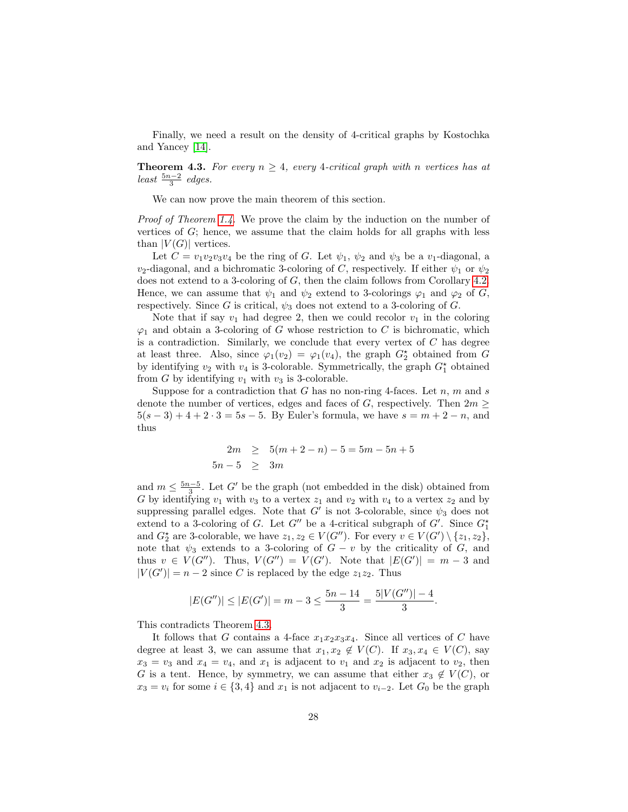Finally, we need a result on the density of 4-critical graphs by Kostochka and Yancey [\[14\]](#page-36-13).

<span id="page-27-0"></span>**Theorem 4.3.** For every  $n \geq 4$ , every 4-critical graph with n vertices has at least  $\frac{5n-2}{3}$  edges.

We can now prove the main theorem of this section.

Proof of Theorem [1.4.](#page-5-0) We prove the claim by the induction on the number of vertices of  $G$ ; hence, we assume that the claim holds for all graphs with less than  $|V(G)|$  vertices.

Let  $C = v_1v_2v_3v_4$  be the ring of G. Let  $\psi_1$ ,  $\psi_2$  and  $\psi_3$  be a  $v_1$ -diagonal, a  $v_2$ -diagonal, and a bichromatic 3-coloring of C, respectively. If either  $\psi_1$  or  $\psi_2$ does not extend to a 3-coloring of G, then the claim follows from Corollary [4.2.](#page-26-2) Hence, we can assume that  $\psi_1$  and  $\psi_2$  extend to 3-colorings  $\varphi_1$  and  $\varphi_2$  of G, respectively. Since G is critical,  $\psi_3$  does not extend to a 3-coloring of G.

Note that if say  $v_1$  had degree 2, then we could recolor  $v_1$  in the coloring  $\varphi_1$  and obtain a 3-coloring of G whose restriction to C is bichromatic, which is a contradiction. Similarly, we conclude that every vertex of  $C$  has degree at least three. Also, since  $\varphi_1(v_2) = \varphi_1(v_4)$ , the graph  $G_2^*$  obtained from G by identifying  $v_2$  with  $v_4$  is 3-colorable. Symmetrically, the graph  $G_1^{\star}$  obtained from  $G$  by identifying  $v_1$  with  $v_3$  is 3-colorable.

Suppose for a contradiction that G has no non-ring 4-faces. Let n, m and s denote the number of vertices, edges and faces of  $G$ , respectively. Then  $2m \geq$  $5(s-3) + 4 + 2 \cdot 3 = 5s - 5$ . By Euler's formula, we have  $s = m + 2 - n$ , and thus

$$
2m \ge 5(m+2-n) - 5 = 5m - 5n + 5
$$
  

$$
5n-5 \ge 3m
$$

and  $m \leq \frac{5n-5}{3}$ . Let G' be the graph (not embedded in the disk) obtained from G by identifying  $v_1$  with  $v_3$  to a vertex  $z_1$  and  $v_2$  with  $v_4$  to a vertex  $z_2$  and by suppressing parallel edges. Note that  $G'$  is not 3-colorable, since  $\psi_3$  does not extend to a 3-coloring of G. Let  $G''$  be a 4-critical subgraph of  $G'$ . Since  $G_1^*$ and  $G_2^*$  are 3-colorable, we have  $z_1, z_2 \in V(G'')$ . For every  $v \in V(G') \setminus \{z_1, z_2\}$ , note that  $\psi_3$  extends to a 3-coloring of  $G - v$  by the criticality of G, and thus  $v \in V(G'')$ . Thus,  $V(G'') = V(G')$ . Note that  $|E(G')| = m - 3$  and  $|V(G')| = n - 2$  since C is replaced by the edge  $z_1 z_2$ . Thus

$$
|E(G'')| \le |E(G')| = m-3 \le \frac{5n-14}{3} = \frac{5|V(G'')|-4}{3}.
$$

This contradicts Theorem [4.3.](#page-27-0)

It follows that G contains a 4-face  $x_1x_2x_3x_4$ . Since all vertices of C have degree at least 3, we can assume that  $x_1, x_2 \notin V(C)$ . If  $x_3, x_4 \in V(C)$ , say  $x_3 = v_3$  and  $x_4 = v_4$ , and  $x_1$  is adjacent to  $v_1$  and  $x_2$  is adjacent to  $v_2$ , then G is a tent. Hence, by symmetry, we can assume that either  $x_3 \notin V(C)$ , or  $x_3 = v_i$  for some  $i \in \{3, 4\}$  and  $x_1$  is not adjacent to  $v_{i-2}$ . Let  $G_0$  be the graph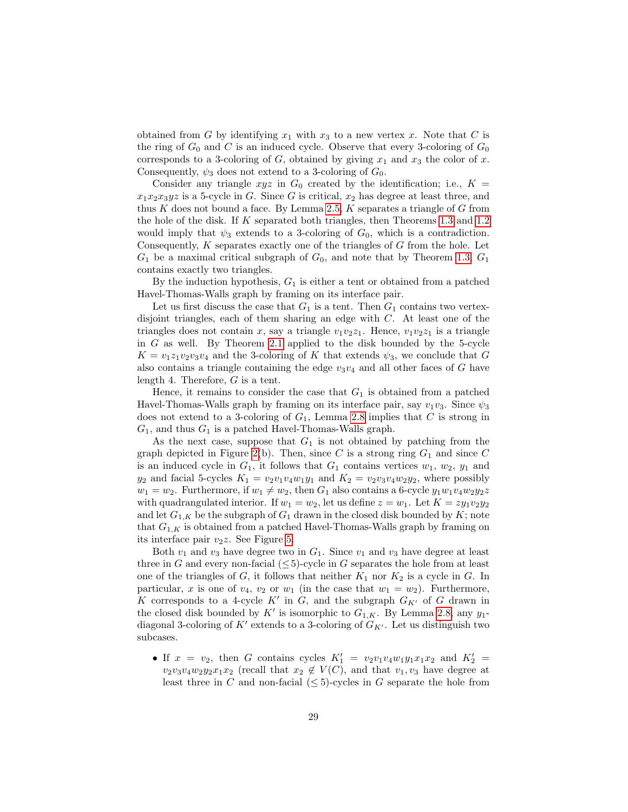obtained from G by identifying  $x_1$  with  $x_3$  to a new vertex x. Note that C is the ring of  $G_0$  and C is an induced cycle. Observe that every 3-coloring of  $G_0$ corresponds to a 3-coloring of  $G$ , obtained by giving  $x_1$  and  $x_3$  the color of  $x$ . Consequently,  $\psi_3$  does not extend to a 3-coloring of  $G_0$ .

Consider any triangle  $xyz$  in  $G_0$  created by the identification; i.e.,  $K =$  $x_1x_2x_3yz$  is a 5-cycle in G. Since G is critical,  $x_2$  has degree at least three, and thus  $K$  does not bound a face. By Lemma [2.5,](#page-8-1)  $K$  separates a triangle of  $G$  from the hole of the disk. If K separated both triangles, then Theorems [1.3](#page-4-1) and [1.2](#page-4-2) would imply that  $\psi_3$  extends to a 3-coloring of  $G_0$ , which is a contradiction. Consequently,  $K$  separates exactly one of the triangles of  $G$  from the hole. Let  $G_1$  be a maximal critical subgraph of  $G_0$ , and note that by Theorem [1.3,](#page-4-1)  $G_1$ contains exactly two triangles.

By the induction hypothesis,  $G_1$  is either a tent or obtained from a patched Havel-Thomas-Walls graph by framing on its interface pair.

Let us first discuss the case that  $G_1$  is a tent. Then  $G_1$  contains two vertexdisjoint triangles, each of them sharing an edge with C. At least one of the triangles does not contain x, say a triangle  $v_1v_2z_1$ . Hence,  $v_1v_2z_1$  is a triangle in G as well. By Theorem [2.1](#page-6-2) applied to the disk bounded by the 5-cycle  $K = v_1 z_1 v_2 v_3 v_4$  and the 3-coloring of K that extends  $\psi_3$ , we conclude that G also contains a triangle containing the edge  $v_3v_4$  and all other faces of G have length 4. Therefore,  $G$  is a tent.

Hence, it remains to consider the case that  $G_1$  is obtained from a patched Havel-Thomas-Walls graph by framing on its interface pair, say  $v_1v_3$ . Since  $\psi_3$ does not extend to a 3-coloring of  $G_1$ , Lemma [2.8](#page-10-0) implies that  $C$  is strong in  $G_1$ , and thus  $G_1$  is a patched Havel-Thomas-Walls graph.

As the next case, suppose that  $G_1$  is not obtained by patching from the graph depicted in Figure [2\(](#page-5-1)b). Then, since C is a strong ring  $G_1$  and since C is an induced cycle in  $G_1$ , it follows that  $G_1$  contains vertices  $w_1, w_2, y_1$  and  $y_2$  and facial 5-cycles  $K_1 = v_2v_1v_4w_1y_1$  and  $K_2 = v_2v_3v_4w_2y_2$ , where possibly  $w_1 = w_2$ . Furthermore, if  $w_1 \neq w_2$ , then  $G_1$  also contains a 6-cycle  $y_1w_1v_4w_2y_2z$ with quadrangulated interior. If  $w_1 = w_2$ , let us define  $z = w_1$ . Let  $K = zy_1v_2y_2$ and let  $G_{1,K}$  be the subgraph of  $G_1$  drawn in the closed disk bounded by  $K$ ; note that  $G_{1,K}$  is obtained from a patched Havel-Thomas-Walls graph by framing on its interface pair  $v_2z$ . See Figure [5.](#page-29-0)

Both  $v_1$  and  $v_3$  have degree two in  $G_1$ . Since  $v_1$  and  $v_3$  have degree at least three in G and every non-facial  $(\leq 5)$ -cycle in G separates the hole from at least one of the triangles of  $G$ , it follows that neither  $K_1$  nor  $K_2$  is a cycle in  $G$ . In particular, x is one of  $v_4$ ,  $v_2$  or  $w_1$  (in the case that  $w_1 = w_2$ ). Furthermore, K corresponds to a 4-cycle K' in G, and the subgraph  $G_{K'}$  of G drawn in the closed disk bounded by  $K'$  is isomorphic to  $G_{1,K}$ . By Lemma [2.8,](#page-10-0) any  $y_1$ diagonal 3-coloring of  $K'$  extends to a 3-coloring of  $G_{K'}$ . Let us distinguish two subcases.

• If  $x = v_2$ , then G contains cycles  $K_1' = v_2v_1v_4w_1y_1x_1x_2$  and  $K_2' =$  $v_2v_3v_4w_2y_2x_1x_2$  (recall that  $x_2 \notin V(C)$ , and that  $v_1, v_3$  have degree at least three in C and non-facial  $(\leq 5)$ -cycles in G separate the hole from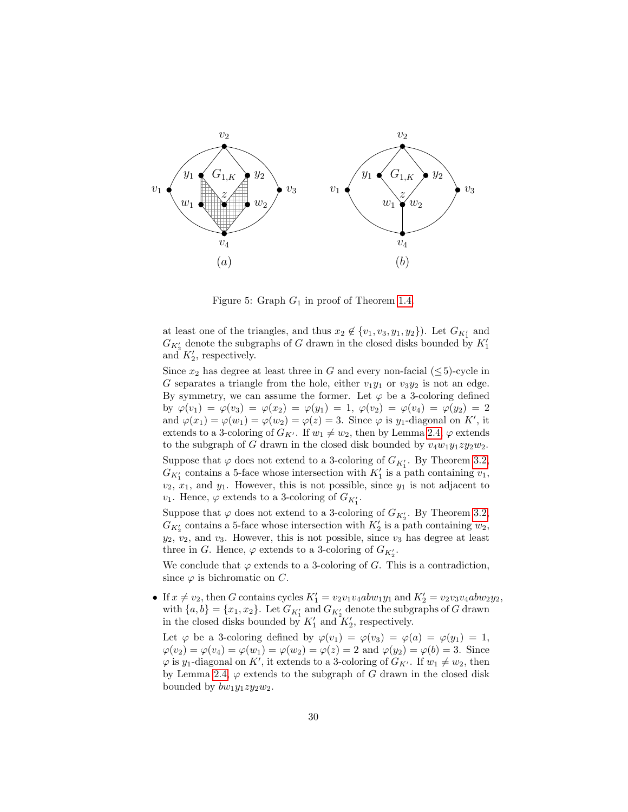

<span id="page-29-0"></span>Figure 5: Graph  $G_1$  in proof of Theorem [1.4.](#page-5-0)

at least one of the triangles, and thus  $x_2 \notin \{v_1, v_3, y_1, y_2\}$ . Let  $G_{K'_1}$  and  $G_{K'_2}$  denote the subgraphs of G drawn in the closed disks bounded by  $K'_1$ and  $K'_2$ , respectively.

Since  $x_2$  has degree at least three in G and every non-facial ( $\leq$ 5)-cycle in G separates a triangle from the hole, either  $v_1y_1$  or  $v_3y_2$  is not an edge. By symmetry, we can assume the former. Let  $\varphi$  be a 3-coloring defined by  $\varphi(v_1) = \varphi(v_3) = \varphi(x_2) = \varphi(y_1) = 1, \ \varphi(v_2) = \varphi(v_4) = \varphi(y_2) = 2$ and  $\varphi(x_1) = \varphi(w_1) = \varphi(w_2) = \varphi(z) = 3$ . Since  $\varphi$  is  $y_1$ -diagonal on K', it extends to a 3-coloring of  $G_{K'}$ . If  $w_1 \neq w_2$ , then by Lemma [2.4,](#page-7-0)  $\varphi$  extends to the subgraph of G drawn in the closed disk bounded by  $v_4w_1y_1zy_2w_2$ . Suppose that  $\varphi$  does not extend to a 3-coloring of  $G_{K_1'}$ . By Theorem [3.2,](#page-14-1)  $G_{K_1'}$  contains a 5-face whose intersection with  $K_1'$  is a path containing  $v_1$ ,  $v_2, x_1$ , and  $y_1$ . However, this is not possible, since  $y_1$  is not adjacent to  $v_1$ . Hence,  $\varphi$  extends to a 3-coloring of  $G_{K_1'}$ .

Suppose that  $\varphi$  does not extend to a 3-coloring of  $G_{K_2'}$ . By Theorem [3.2,](#page-14-1)  $G_{K_2'}$  contains a 5-face whose intersection with  $K_2'$  is a path containing  $w_2$ ,  $y_2, v_2$ , and  $v_3$ . However, this is not possible, since  $v_3$  has degree at least three in G. Hence,  $\varphi$  extends to a 3-coloring of  $G_{K_2'}$ .

We conclude that  $\varphi$  extends to a 3-coloring of G. This is a contradiction, since  $\varphi$  is bichromatic on C.

• If  $x \neq v_2$ , then G contains cycles  $K_1' = v_2v_1v_4abw_1y_1$  and  $K_2' = v_2v_3v_4abw_2y_2$ , with  $\{a, b\} = \{x_1, x_2\}$ . Let  $G_{K'_1}$  and  $G_{K'_2}$  denote the subgraphs of G drawn in the closed disks bounded by  $K'_1$  and  $K'_2$ , respectively.

Let  $\varphi$  be a 3-coloring defined by  $\varphi(v_1) = \varphi(v_3) = \varphi(a) = \varphi(y_1) = 1$ ,  $\varphi(v_2) = \varphi(v_4) = \varphi(w_1) = \varphi(w_2) = \varphi(z) = 2$  and  $\varphi(y_2) = \varphi(b) = 3$ . Since  $\varphi$  is  $y_1$ -diagonal on K', it extends to a 3-coloring of  $G_{K'}$ . If  $w_1 \neq w_2$ , then by Lemma [2.4,](#page-7-0)  $\varphi$  extends to the subgraph of G drawn in the closed disk bounded by  $bw_1y_1zy_2w_2$ .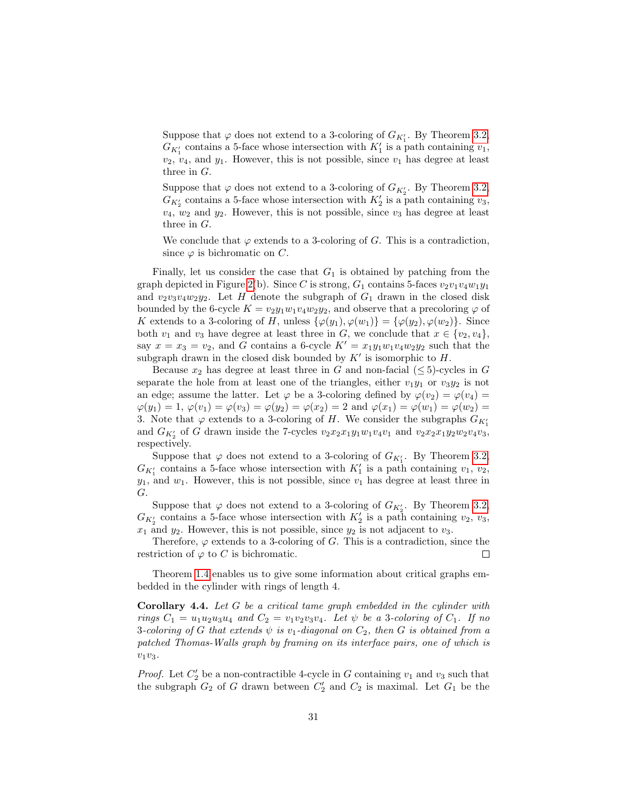Suppose that  $\varphi$  does not extend to a 3-coloring of  $G_{K_1'}$ . By Theorem [3.2,](#page-14-1)  $G_{K_1'}$  contains a 5-face whose intersection with  $K_1'$  is a path containing  $v_1$ ,  $v_2$ ,  $v_4$ , and  $y_1$ . However, this is not possible, since  $v_1$  has degree at least three in G.

Suppose that  $\varphi$  does not extend to a 3-coloring of  $G_{K_2'}$ . By Theorem [3.2,](#page-14-1)  $G_{K'_{2}}$  contains a 5-face whose intersection with  $K'_{2}$  is a path containing  $v_{3}$ ,  $v_4$ ,  $w_2$  and  $y_2$ . However, this is not possible, since  $v_3$  has degree at least three in G.

We conclude that  $\varphi$  extends to a 3-coloring of G. This is a contradiction, since  $\varphi$  is bichromatic on C.

Finally, let us consider the case that  $G_1$  is obtained by patching from the graph depicted in Figure [2\(](#page-5-1)b). Since C is strong,  $G_1$  contains 5-faces  $v_2v_1v_4w_1y_1$ and  $v_2v_3v_4w_2y_2$ . Let H denote the subgraph of  $G_1$  drawn in the closed disk bounded by the 6-cycle  $K = v_2y_1w_1v_4w_2y_2$ , and observe that a precoloring  $\varphi$  of K extends to a 3-coloring of H, unless  $\{\varphi(y_1), \varphi(w_1)\} = \{\varphi(y_2), \varphi(w_2)\}.$  Since both  $v_1$  and  $v_3$  have degree at least three in G, we conclude that  $x \in \{v_2, v_4\},\$ say  $x = x_3 = v_2$ , and G contains a 6-cycle  $K' = x_1y_1w_1v_4w_2y_2$  such that the subgraph drawn in the closed disk bounded by  $K'$  is isomorphic to  $H$ .

Because  $x_2$  has degree at least three in G and non-facial  $(\leq 5)$ -cycles in G separate the hole from at least one of the triangles, either  $v_1y_1$  or  $v_3y_2$  is not an edge; assume the latter. Let  $\varphi$  be a 3-coloring defined by  $\varphi(v_2) = \varphi(v_4) =$  $\varphi(y_1) = 1, \varphi(y_1) = \varphi(y_2) = \varphi(y_2) = 2 \text{ and } \varphi(x_1) = \varphi(w_1) = \varphi(w_2) = 1$ 3. Note that  $\varphi$  extends to a 3-coloring of H. We consider the subgraphs  $G_{K_1'}$ and  $G_{K_2'}$  of G drawn inside the 7-cycles  $v_2x_2x_1y_1w_1v_4v_1$  and  $v_2x_2x_1y_2w_2v_4v_3$ , respectively.

Suppose that  $\varphi$  does not extend to a 3-coloring of  $G_{K_1'}$ . By Theorem [3.2,](#page-14-1)  $G_{K_1'}$  contains a 5-face whose intersection with  $K_1'$  is a path containing  $v_1, v_2$ ,  $y_1$ , and  $w_1$ . However, this is not possible, since  $v_1$  has degree at least three in G.

Suppose that  $\varphi$  does not extend to a 3-coloring of  $G_{K_2'}$ . By Theorem [3.2,](#page-14-1)  $G_{K_2'}$  contains a 5-face whose intersection with  $K_2'$  is a path containing  $v_2, v_3$ ,  $x_1$  and  $y_2$ . However, this is not possible, since  $y_2$  is not adjacent to  $v_3$ .

Therefore,  $\varphi$  extends to a 3-coloring of G. This is a contradiction, since the restriction of  $\varphi$  to C is bichromatic.  $\Box$ 

Theorem [1.4](#page-5-0) enables us to give some information about critical graphs embedded in the cylinder with rings of length 4.

<span id="page-30-0"></span>Corollary 4.4. Let G be a critical tame graph embedded in the cylinder with rings  $C_1 = u_1u_2u_3u_4$  and  $C_2 = v_1v_2v_3v_4$ . Let  $\psi$  be a 3-coloring of  $C_1$ . If no 3-coloring of G that extends  $\psi$  is  $v_1$ -diagonal on  $C_2$ , then G is obtained from a patched Thomas-Walls graph by framing on its interface pairs, one of which is  $v_1v_3.$ 

*Proof.* Let  $C'_2$  be a non-contractible 4-cycle in G containing  $v_1$  and  $v_3$  such that the subgraph  $G_2$  of G drawn between  $C'_2$  and  $C_2$  is maximal. Let  $G_1$  be the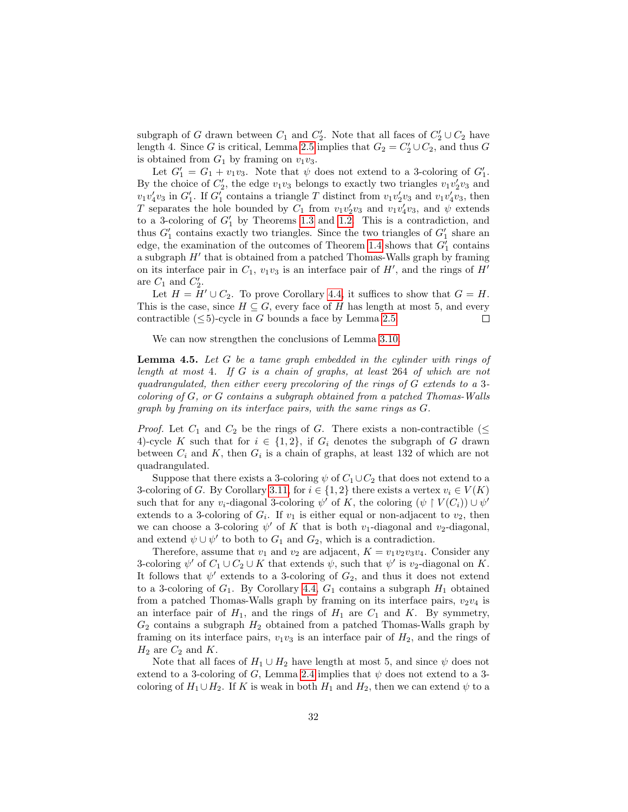subgraph of G drawn between  $C_1$  and  $C_2'$ . Note that all faces of  $C_2' \cup C_2$  have length 4. Since G is critical, Lemma [2.5](#page-8-1) implies that  $G_2 = C'_2 \cup C_2$ , and thus G is obtained from  $G_1$  by framing on  $v_1v_3$ .

Let  $G_1' = G_1 + v_1v_3$ . Note that  $\psi$  does not extend to a 3-coloring of  $G_1'$ . By the choice of  $C'_2$ , the edge  $v_1v_3$  belongs to exactly two triangles  $v_1v'_2v_3$  and  $v_1v_4'v_3$  in  $G'_1$ . If  $G'_1$  contains a triangle T distinct from  $v_1v_2'v_3$  and  $v_1v_4'v_3$ , then T separates the hole bounded by  $C_1$  from  $v_1v_2'v_3$  and  $v_1v_4'v_3$ , and  $\psi$  extends to a 3-coloring of  $G'_1$  by Theorems [1.3](#page-4-1) and [1.2.](#page-4-2) This is a contradiction, and thus  $G'_1$  contains exactly two triangles. Since the two triangles of  $G'_1$  share an edge, the examination of the outcomes of Theorem [1.4](#page-5-0) shows that  $G_1'$  contains a subgraph  $H'$  that is obtained from a patched Thomas-Walls graph by framing on its interface pair in  $C_1$ ,  $v_1v_3$  is an interface pair of H', and the rings of H' are  $C_1$  and  $C_2'$ .

Let  $H = H' \cup C_2$ . To prove Corollary [4.4,](#page-30-0) it suffices to show that  $G = H$ . This is the case, since  $H \subseteq G$ , every face of H has length at most 5, and every contractible  $(*5*)$ -cycle in G bounds a face by Lemma [2.5.](#page-8-1)  $\Box$ 

We can now strengthen the conclusions of Lemma [3.10.](#page-24-1)

<span id="page-31-0"></span>**Lemma 4.5.** Let  $G$  be a tame graph embedded in the cylinder with rings of length at most 4. If G is a chain of graphs, at least 264 of which are not quadrangulated, then either every precoloring of the rings of G extends to a 3 coloring of G, or G contains a subgraph obtained from a patched Thomas-Walls graph by framing on its interface pairs, with the same rings as G.

*Proof.* Let  $C_1$  and  $C_2$  be the rings of G. There exists a non-contractible ( $\leq$ 4)-cycle K such that for  $i \in \{1,2\}$ , if  $G_i$  denotes the subgraph of G drawn between  $C_i$  and K, then  $G_i$  is a chain of graphs, at least 132 of which are not quadrangulated.

Suppose that there exists a 3-coloring  $\psi$  of  $C_1 \cup C_2$  that does not extend to a 3-coloring of G. By Corollary [3.11,](#page-25-0) for  $i \in \{1,2\}$  there exists a vertex  $v_i \in V(K)$ such that for any  $v_i$ -diagonal 3-coloring  $\psi'$  of K, the coloring  $(\psi \restriction V(C_i)) \cup \psi'$ extends to a 3-coloring of  $G_i$ . If  $v_1$  is either equal or non-adjacent to  $v_2$ , then we can choose a 3-coloring  $\psi'$  of K that is both  $v_1$ -diagonal and  $v_2$ -diagonal, and extend  $\psi \cup \psi'$  to both to  $G_1$  and  $G_2$ , which is a contradiction.

Therefore, assume that  $v_1$  and  $v_2$  are adjacent,  $K = v_1v_2v_3v_4$ . Consider any 3-coloring  $\psi'$  of  $C_1 \cup C_2 \cup K$  that extends  $\psi$ , such that  $\psi'$  is  $v_2$ -diagonal on K. It follows that  $\psi'$  extends to a 3-coloring of  $G_2$ , and thus it does not extend to a 3-coloring of  $G_1$ . By Corollary [4.4,](#page-30-0)  $G_1$  contains a subgraph  $H_1$  obtained from a patched Thomas-Walls graph by framing on its interface pairs,  $v_2v_4$  is an interface pair of  $H_1$ , and the rings of  $H_1$  are  $C_1$  and  $K$ . By symmetry,  $G_2$  contains a subgraph  $H_2$  obtained from a patched Thomas-Walls graph by framing on its interface pairs,  $v_1v_3$  is an interface pair of  $H_2$ , and the rings of  $H_2$  are  $C_2$  and K.

Note that all faces of  $H_1 \cup H_2$  have length at most 5, and since  $\psi$  does not extend to a 3-coloring of G, Lemma [2.4](#page-7-0) implies that  $\psi$  does not extend to a 3coloring of  $H_1 \cup H_2$ . If K is weak in both  $H_1$  and  $H_2$ , then we can extend  $\psi$  to a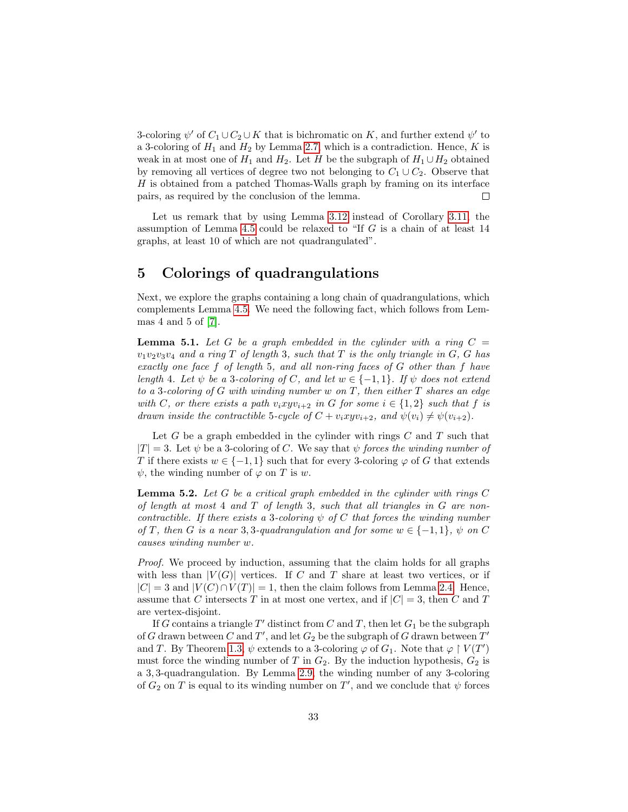3-coloring  $\psi'$  of  $C_1 \cup C_2 \cup K$  that is bichromatic on K, and further extend  $\psi'$  to a 3-coloring of  $H_1$  and  $H_2$  by Lemma [2.7,](#page-9-0) which is a contradiction. Hence, K is weak in at most one of  $H_1$  and  $H_2$ . Let H be the subgraph of  $H_1 \cup H_2$  obtained by removing all vertices of degree two not belonging to  $C_1 \cup C_2$ . Observe that H is obtained from a patched Thomas-Walls graph by framing on its interface pairs, as required by the conclusion of the lemma.  $\Box$ 

Let us remark that by using Lemma [3.12](#page-25-1) instead of Corollary [3.11,](#page-25-0) the assumption of Lemma [4.5](#page-31-0) could be relaxed to "If G is a chain of at least 14 graphs, at least 10 of which are not quadrangulated".

## <span id="page-32-0"></span>5 Colorings of quadrangulations

Next, we explore the graphs containing a long chain of quadrangulations, which complements Lemma [4.5.](#page-31-0) We need the following fact, which follows from Lemmas 4 and 5 of [\[7\]](#page-36-14).

<span id="page-32-2"></span>**Lemma 5.1.** Let G be a graph embedded in the cylinder with a ring  $C =$  $v_1v_2v_3v_4$  and a ring T of length 3, such that T is the only triangle in G, G has exactly one face f of length 5, and all non-ring faces of G other than f have length 4. Let  $\psi$  be a 3-coloring of C, and let  $w \in \{-1,1\}$ . If  $\psi$  does not extend to a 3-coloring of  $G$  with winding number w on  $T$ , then either  $T$  shares an edge with C, or there exists a path  $v_ixyv_{i+2}$  in G for some  $i \in \{1,2\}$  such that f is drawn inside the contractible 5-cycle of  $C + v_i xyv_{i+2}$ , and  $\psi(v_i) \neq \psi(v_{i+2})$ .

Let G be a graph embedded in the cylinder with rings  $C$  and  $T$  such that  $|T| = 3$ . Let  $\psi$  be a 3-coloring of C. We say that  $\psi$  forces the winding number of T if there exists  $w \in \{-1,1\}$  such that for every 3-coloring  $\varphi$  of G that extends  $\psi$ , the winding number of  $\varphi$  on T is w.

<span id="page-32-1"></span>**Lemma 5.2.** Let  $G$  be a critical graph embedded in the cylinder with rings  $C$ of length at most  $4$  and  $T$  of length  $3$ , such that all triangles in  $G$  are noncontractible. If there exists a 3-coloring  $\psi$  of C that forces the winding number of T, then G is a near 3,3-quadrangulation and for some  $w \in \{-1,1\}$ ,  $\psi$  on C causes winding number w.

Proof. We proceed by induction, assuming that the claim holds for all graphs with less than  $|V(G)|$  vertices. If C and T share at least two vertices, or if  $|C| = 3$  and  $|V(C) \cap V(T)| = 1$ , then the claim follows from Lemma [2.4.](#page-7-0) Hence, assume that C intersects T in at most one vertex, and if  $|C| = 3$ , then C and T are vertex-disjoint.

If G contains a triangle  $T'$  distinct from C and T, then let  $G_1$  be the subgraph of  $G$  drawn between  $C$  and  $T'$ , and let  $G_2$  be the subgraph of  $G$  drawn between  $T'$ and T. By Theorem [1.3,](#page-4-1)  $\psi$  extends to a 3-coloring  $\varphi$  of  $G_1$ . Note that  $\varphi \restriction V(T')$ must force the winding number of T in  $G_2$ . By the induction hypothesis,  $G_2$  is a 3, 3-quadrangulation. By Lemma [2.9,](#page-11-0) the winding number of any 3-coloring of  $G_2$  on T is equal to its winding number on T', and we conclude that  $\psi$  forces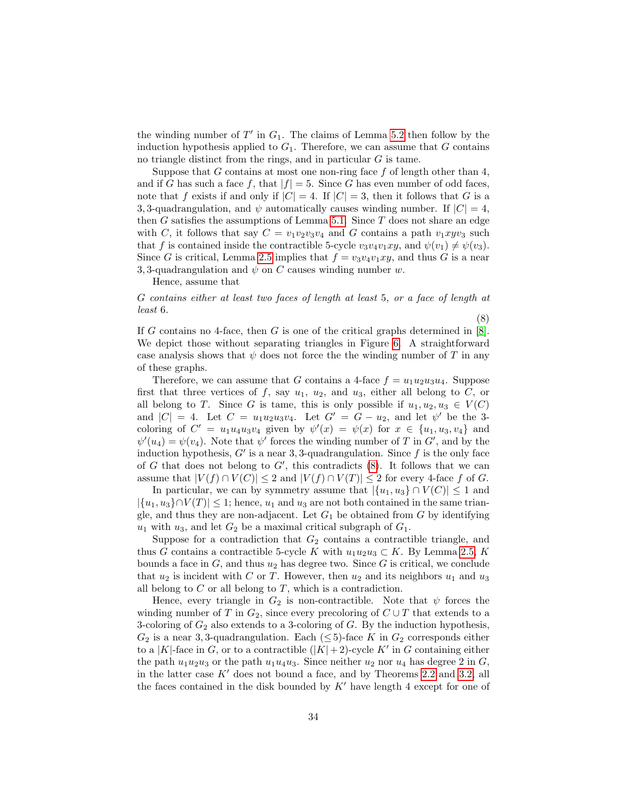the winding number of  $T'$  in  $G_1$ . The claims of Lemma [5.2](#page-32-1) then follow by the induction hypothesis applied to  $G_1$ . Therefore, we can assume that  $G$  contains no triangle distinct from the rings, and in particular G is tame.

Suppose that G contains at most one non-ring face  $f$  of length other than 4, and if G has such a face f, that  $|f| = 5$ . Since G has even number of odd faces, note that f exists if and only if  $|C| = 4$ . If  $|C| = 3$ , then it follows that G is a 3, 3-quadrangulation, and  $\psi$  automatically causes winding number. If  $|C| = 4$ , then  $G$  satisfies the assumptions of Lemma [5.1.](#page-32-2) Since  $T$  does not share an edge with C, it follows that say  $C = v_1v_2v_3v_4$  and G contains a path  $v_1xyv_3$  such that f is contained inside the contractible 5-cycle  $v_3v_4v_1xy$ , and  $\psi(v_1) \neq \psi(v_3)$ . Since G is critical, Lemma [2.5](#page-8-1) implies that  $f = v_3v_4v_1xy$ , and thus G is a near 3, 3-quadrangulation and  $\psi$  on C causes winding number w.

Hence, assume that

<span id="page-33-0"></span>G contains either at least two faces of length at least 5, or a face of length at least 6.

(8)

If G contains no 4-face, then G is one of the critical graphs determined in  $[8]$ . We depict those without separating triangles in Figure [6.](#page-34-0) A straightforward case analysis shows that  $\psi$  does not force the the winding number of T in any of these graphs.

Therefore, we can assume that G contains a 4-face  $f = u_1u_2u_3u_4$ . Suppose first that three vertices of f, say  $u_1$ ,  $u_2$ , and  $u_3$ , either all belong to C, or all belong to T. Since G is tame, this is only possible if  $u_1, u_2, u_3 \in V(C)$ and  $|C| = 4$ . Let  $C = u_1 u_2 u_3 v_4$ . Let  $G' = G - u_2$ , and let  $\psi'$  be the 3coloring of  $C' = u_1 u_4 u_3 v_4$  given by  $\psi'(x) = \psi(x)$  for  $x \in \{u_1, u_3, v_4\}$  and  $\psi'(u_4) = \psi(v_4)$ . Note that  $\psi'$  forces the winding number of T in G', and by the induction hypothesis,  $G'$  is a near 3, 3-quadrangulation. Since f is the only face of G that does not belong to  $G'$ , this contradicts  $(8)$ . It follows that we can assume that  $|V(f) \cap V(C)| \leq 2$  and  $|V(f) \cap V(T)| \leq 2$  for every 4-face f of G.

In particular, we can by symmetry assume that  $|\{u_1, u_3\} \cap V(C)| \leq 1$  and  $|\{u_1, u_3\} \cap V(T)| \leq 1$ ; hence,  $u_1$  and  $u_3$  are not both contained in the same triangle, and thus they are non-adjacent. Let  $G_1$  be obtained from G by identifying  $u_1$  with  $u_3$ , and let  $G_2$  be a maximal critical subgraph of  $G_1$ .

Suppose for a contradiction that  $G_2$  contains a contractible triangle, and thus G contains a contractible 5-cycle K with  $u_1u_2u_3 \subset K$ . By Lemma [2.5,](#page-8-1) K bounds a face in  $G$ , and thus  $u_2$  has degree two. Since  $G$  is critical, we conclude that  $u_2$  is incident with C or T. However, then  $u_2$  and its neighbors  $u_1$  and  $u_3$ all belong to  $C$  or all belong to  $T$ , which is a contradiction.

Hence, every triangle in  $G_2$  is non-contractible. Note that  $\psi$  forces the winding number of T in  $G_2$ , since every precoloring of  $C \cup T$  that extends to a 3-coloring of  $G_2$  also extends to a 3-coloring of  $G$ . By the induction hypothesis,  $G_2$  is a near 3, 3-quadrangulation. Each ( $\leq$  5)-face K in  $G_2$  corresponds either to a |K|-face in G, or to a contractible  $(|K|+2)$ -cycle K' in G containing either the path  $u_1u_2u_3$  or the path  $u_1u_4u_3$ . Since neither  $u_2$  nor  $u_4$  has degree 2 in G, in the latter case  $K'$  does not bound a face, and by Theorems [2.2](#page-6-1) and [3.2,](#page-14-1) all the faces contained in the disk bounded by  $K'$  have length 4 except for one of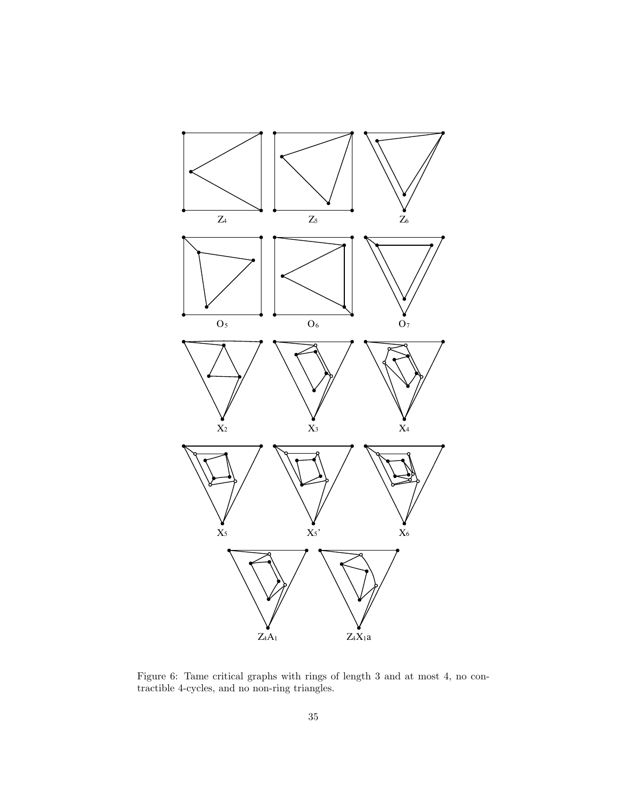

<span id="page-34-0"></span>Figure 6: Tame critical graphs with rings of length 3 and at most 4, no contractible 4-cycles, and no non-ring triangles.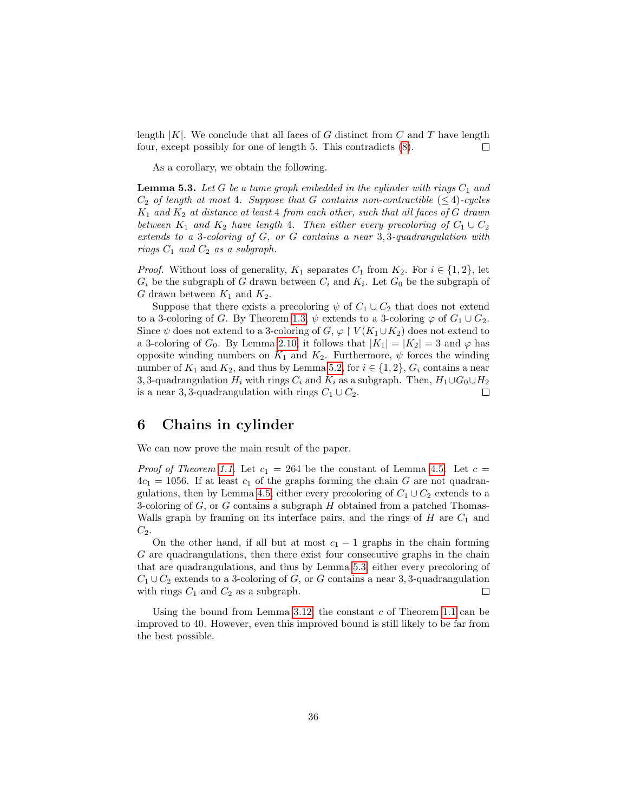length  $|K|$ . We conclude that all faces of G distinct from C and T have length four, except possibly for one of length 5. This contradicts [\(8\)](#page-33-0).  $\Box$ 

As a corollary, we obtain the following.

<span id="page-35-1"></span>**Lemma 5.3.** Let G be a tame graph embedded in the cylinder with rings  $C_1$  and  $C_2$  of length at most 4. Suppose that G contains non-contractible  $(\leq 4)$ -cycles  $K_1$  and  $K_2$  at distance at least 4 from each other, such that all faces of G drawn between  $K_1$  and  $K_2$  have length 4. Then either every precoloring of  $C_1 \cup C_2$ extends to a 3-coloring of G, or G contains a near 3, 3-quadrangulation with rings  $C_1$  and  $C_2$  as a subgraph.

*Proof.* Without loss of generality,  $K_1$  separates  $C_1$  from  $K_2$ . For  $i \in \{1,2\}$ , let  $G_i$  be the subgraph of G drawn between  $C_i$  and  $K_i$ . Let  $G_0$  be the subgraph of G drawn between  $K_1$  and  $K_2$ .

Suppose that there exists a precoloring  $\psi$  of  $C_1 \cup C_2$  that does not extend to a 3-coloring of G. By Theorem [1.3,](#page-4-1)  $\psi$  extends to a 3-coloring  $\varphi$  of  $G_1 \cup G_2$ . Since  $\psi$  does not extend to a 3-coloring of  $G$ ,  $\varphi \restriction V(K_1 \cup K_2)$  does not extend to a 3-coloring of  $G_0$ . By Lemma [2.10,](#page-11-1) it follows that  $|K_1| = |K_2| = 3$  and  $\varphi$  has opposite winding numbers on  $K_1$  and  $K_2$ . Furthermore,  $\psi$  forces the winding number of  $K_1$  and  $K_2$ , and thus by Lemma [5.2,](#page-32-1) for  $i \in \{1, 2\}$ ,  $G_i$  contains a near 3, 3-quadrangulation  $H_i$  with rings  $C_i$  and  $K_i$  as a subgraph. Then,  $H_1 \cup G_0 \cup H_2$ is a near 3, 3-quadrangulation with rings  $C_1 \cup C_2$ .  $\Box$ 

## <span id="page-35-0"></span>6 Chains in cylinder

We can now prove the main result of the paper.

*Proof of Theorem [1.1.](#page-4-0)* Let  $c_1 = 264$  be the constant of Lemma [4.5.](#page-31-0) Let  $c =$  $4c_1 = 1056$ . If at least  $c_1$  of the graphs forming the chain G are not quadran-gulations, then by Lemma [4.5,](#page-31-0) either every precoloring of  $C_1 \cup C_2$  extends to a 3-coloring of  $G$ , or  $G$  contains a subgraph  $H$  obtained from a patched Thomas-Walls graph by framing on its interface pairs, and the rings of  $H$  are  $C_1$  and  $C_2$ .

On the other hand, if all but at most  $c_1 - 1$  graphs in the chain forming G are quadrangulations, then there exist four consecutive graphs in the chain that are quadrangulations, and thus by Lemma [5.3,](#page-35-1) either every precoloring of  $C_1 \cup C_2$  extends to a 3-coloring of G, or G contains a near 3, 3-quadrangulation with rings  $C_1$  and  $C_2$  as a subgraph.  $\Box$ 

Using the bound from Lemma [3.12,](#page-25-1) the constant  $c$  of Theorem [1.1](#page-4-0) can be improved to 40. However, even this improved bound is still likely to be far from the best possible.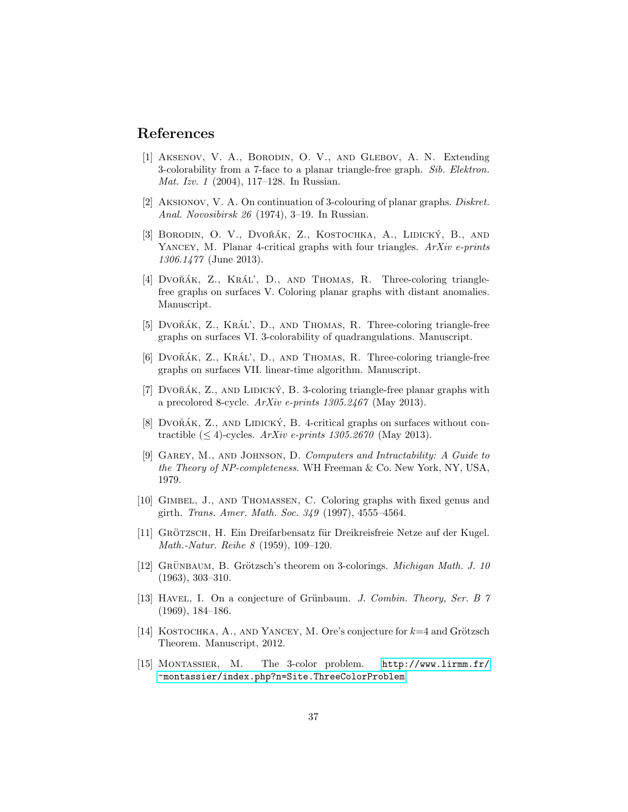## References

- <span id="page-36-11"></span>[1] Aksenov, V. A., Borodin, O. V., and Glebov, A. N. Extending 3-colorability from a 7-face to a planar triangle-free graph. Sib. Elektron. Mat. Izv. 1 (2004), 117–128. In Russian.
- <span id="page-36-7"></span>[2] Aksionov, V. A. On continuation of 3-colouring of planar graphs. Diskret. Anal. Novosibirsk 26 (1974), 3–19. In Russian.
- <span id="page-36-6"></span>[3] BORODIN, O. V., DVOŘÁK, Z., KOSTOCHKA, A., LIDICKÝ, B., AND YANCEY, M. Planar 4-critical graphs with four triangles. ArXiv e-prints 1306.1477 (June 2013).
- <span id="page-36-10"></span>[4] DVOŘÁK, Z., KRÁL', D., AND THOMAS, R. Three-coloring trianglefree graphs on surfaces V. Coloring planar graphs with distant anomalies. Manuscript.
- <span id="page-36-5"></span>[5] DVOŘÁK, Z., KRÁL', D., AND THOMAS, R. Three-coloring triangle-free graphs on surfaces VI. 3-colorability of quadrangulations. Manuscript.
- <span id="page-36-4"></span>[6] DVOŘÁK, Z., KRÁL', D., AND THOMAS, R. Three-coloring triangle-free graphs on surfaces VII. linear-time algorithm. Manuscript.
- <span id="page-36-14"></span>[7] DVOŘÁK,  $Z_{\cdot}$ , AND LIDICKÝ, B. 3-coloring triangle-free planar graphs with a precolored 8-cycle.  $ArXiv$  e-prints  $1305.2467$  (May 2013).
- <span id="page-36-12"></span>[8] DVOŘÁK, Z., AND LIDICKÝ, B. 4-critical graphs on surfaces without contractible ( $\leq 4$ )-cycles. ArXiv e-prints 1305.2670 (May 2013).
- <span id="page-36-1"></span>[9] Garey, M., and Johnson, D. Computers and Intractability: A Guide to the Theory of NP-completeness. WH Freeman & Co. New York, NY, USA, 1979.
- <span id="page-36-3"></span>[10] Gimbel, J., and Thomassen, C. Coloring graphs with fixed genus and girth. Trans. Amer. Math. Soc. 349 (1997), 4555–4564.
- <span id="page-36-0"></span>[11] GRÖTZSCH, H. Ein Dreifarbensatz für Dreikreisfreie Netze auf der Kugel. Math.-Natur. Reihe 8 (1959), 109–120.
- <span id="page-36-8"></span>[12] GRÜNBAUM, B. Grötzsch's theorem on 3-colorings. *Michigan Math. J.* 10 (1963), 303–310.
- <span id="page-36-9"></span>[13] HAVEL, I. On a conjecture of Grünbaum. J. Combin. Theory, Ser. B  $\gamma$ (1969), 184–186.
- <span id="page-36-13"></span>[14] KOSTOCHKA, A., AND YANCEY, M. Ore's conjecture for  $k=4$  and Grötzsch Theorem. Manuscript, 2012.
- <span id="page-36-2"></span>[15] Montassier, M. The 3-color problem. [http://www.lirmm.fr/](http://www.lirmm.fr/~montassier/index.php?n=Site.ThreeColorProblem) [~montassier/index.php?n=Site.ThreeColorProblem](http://www.lirmm.fr/~montassier/index.php?n=Site.ThreeColorProblem).